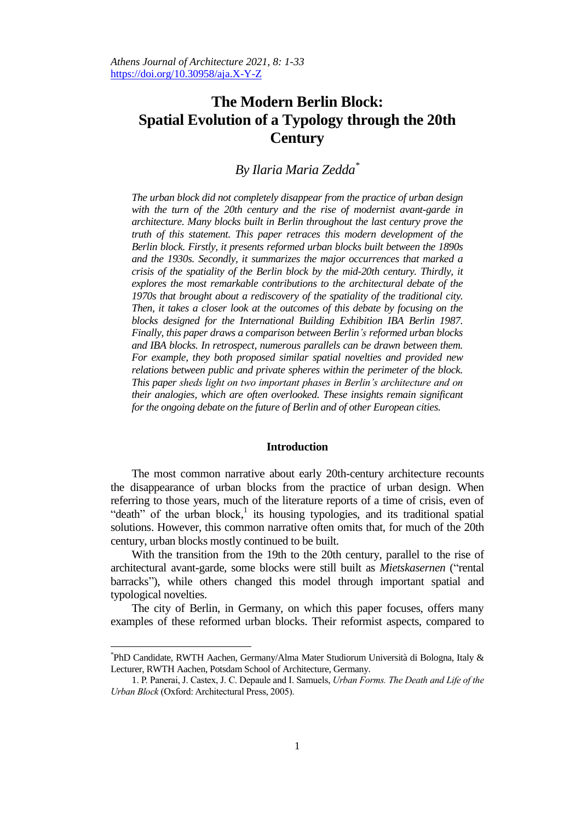# **The Modern Berlin Block: Spatial Evolution of a Typology through the 20th Century**

## *By Ilaria Maria Zedda\**

*The urban block did not completely disappear from the practice of urban design with the turn of the 20th century and the rise of modernist avant-garde in architecture. Many blocks built in Berlin throughout the last century prove the truth of this statement. This paper retraces this modern development of the Berlin block. Firstly, it presents reformed urban blocks built between the 1890s and the 1930s. Secondly, it summarizes the major occurrences that marked a crisis of the spatiality of the Berlin block by the mid-20th century. Thirdly, it explores the most remarkable contributions to the architectural debate of the 1970s that brought about a rediscovery of the spatiality of the traditional city. Then, it takes a closer look at the outcomes of this debate by focusing on the blocks designed for the International Building Exhibition IBA Berlin 1987. Finally, this paper draws a comparison between Berlin's reformed urban blocks and IBA blocks. In retrospect, numerous parallels can be drawn between them. For example, they both proposed similar spatial novelties and provided new relations between public and private spheres within the perimeter of the block. This paper sheds light on two important phases in Berlin's architecture and on their analogies, which are often overlooked. These insights remain significant for the ongoing debate on the future of Berlin and of other European cities.*

#### **Introduction**

The most common narrative about early 20th-century architecture recounts the disappearance of urban blocks from the practice of urban design. When referring to those years, much of the literature reports of a time of crisis, even of "death" of the urban block,<sup>1</sup> its housing typologies, and its traditional spatial solutions. However, this common narrative often omits that, for much of the 20th century, urban blocks mostly continued to be built.

With the transition from the 19th to the 20th century, parallel to the rise of architectural avant-garde, some blocks were still built as *Mietskasernen* ("rental barracks"), while others changed this model through important spatial and typological novelties.

The city of Berlin, in Germany, on which this paper focuses, offers many examples of these reformed urban blocks. Their reformist aspects, compared to

<sup>\*</sup> PhD Candidate, RWTH Aachen, Germany/Alma Mater Studiorum Università di Bologna, Italy & Lecturer, RWTH Aachen, Potsdam School of Architecture, Germany.

<sup>1.</sup> P. Panerai, J. Castex, J. C. Depaule and I. Samuels, *Urban Forms. The Death and Life of the Urban Block* (Oxford: Architectural Press, 2005).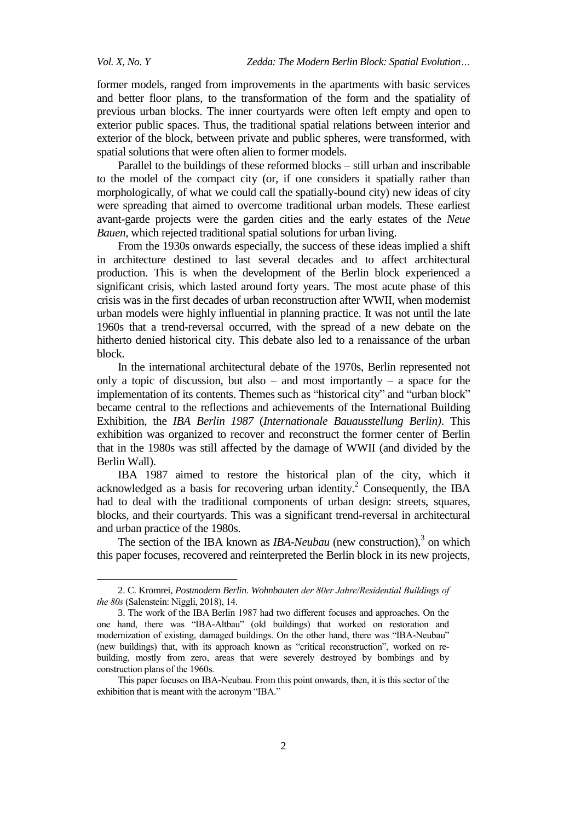former models, ranged from improvements in the apartments with basic services and better floor plans, to the transformation of the form and the spatiality of previous urban blocks. The inner courtyards were often left empty and open to exterior public spaces. Thus, the traditional spatial relations between interior and exterior of the block, between private and public spheres, were transformed, with spatial solutions that were often alien to former models.

Parallel to the buildings of these reformed blocks – still urban and inscribable to the model of the compact city (or, if one considers it spatially rather than morphologically, of what we could call the spatially-bound city) new ideas of city were spreading that aimed to overcome traditional urban models. These earliest avant-garde projects were the garden cities and the early estates of the *Neue Bauen*, which rejected traditional spatial solutions for urban living.

From the 1930s onwards especially, the success of these ideas implied a shift in architecture destined to last several decades and to affect architectural production. This is when the development of the Berlin block experienced a significant crisis, which lasted around forty years. The most acute phase of this crisis was in the first decades of urban reconstruction after WWII, when modernist urban models were highly influential in planning practice. It was not until the late 1960s that a trend-reversal occurred, with the spread of a new debate on the hitherto denied historical city. This debate also led to a renaissance of the urban block.

In the international architectural debate of the 1970s, Berlin represented not only a topic of discussion, but also – and most importantly – a space for the implementation of its contents. Themes such as "historical city" and "urban block" became central to the reflections and achievements of the International Building Exhibition, the *IBA Berlin 1987* (*Internationale Bauausstellung Berlin)*. This exhibition was organized to recover and reconstruct the former center of Berlin that in the 1980s was still affected by the damage of WWII (and divided by the Berlin Wall).

IBA 1987 aimed to restore the historical plan of the city, which it acknowledged as a basis for recovering urban identity. <sup>2</sup> Consequently, the IBA had to deal with the traditional components of urban design: streets, squares, blocks, and their courtyards. This was a significant trend-reversal in architectural and urban practice of the 1980s.

The section of the IBA known as *IBA-Neubau* (new construction),<sup>3</sup> on which this paper focuses, recovered and reinterpreted the Berlin block in its new projects,

<sup>2.</sup> C. Kromrei, *Postmodern Berlin. Wohnbauten der 80er Jahre/Residential Buildings of the 80s* (Salenstein: Niggli, 2018), 14.

<sup>3.</sup> The work of the IBA Berlin 1987 had two different focuses and approaches. On the one hand, there was "IBA-Altbau" (old buildings) that worked on restoration and modernization of existing, damaged buildings. On the other hand, there was "IBA-Neubau" (new buildings) that, with its approach known as "critical reconstruction", worked on rebuilding, mostly from zero, areas that were severely destroyed by bombings and by construction plans of the 1960s.

This paper focuses on IBA-Neubau. From this point onwards, then, it is this sector of the exhibition that is meant with the acronym "IBA."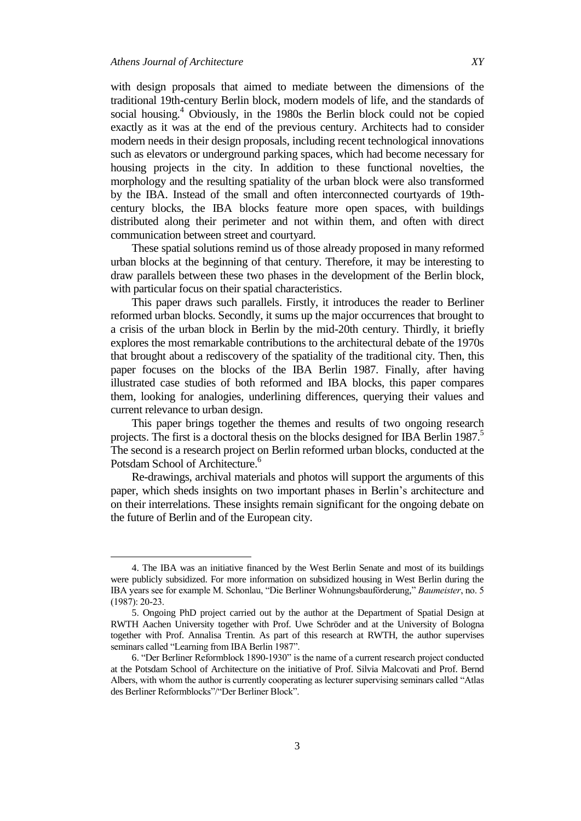with design proposals that aimed to mediate between the dimensions of the traditional 19th-century Berlin block, modern models of life, and the standards of social housing. $4$  Obviously, in the 1980s the Berlin block could not be copied exactly as it was at the end of the previous century. Architects had to consider modern needs in their design proposals, including recent technological innovations such as elevators or underground parking spaces, which had become necessary for housing projects in the city. In addition to these functional novelties, the morphology and the resulting spatiality of the urban block were also transformed by the IBA. Instead of the small and often interconnected courtyards of 19thcentury blocks, the IBA blocks feature more open spaces, with buildings distributed along their perimeter and not within them, and often with direct communication between street and courtyard.

These spatial solutions remind us of those already proposed in many reformed urban blocks at the beginning of that century. Therefore, it may be interesting to draw parallels between these two phases in the development of the Berlin block, with particular focus on their spatial characteristics.

This paper draws such parallels. Firstly, it introduces the reader to Berliner reformed urban blocks. Secondly, it sums up the major occurrences that brought to a crisis of the urban block in Berlin by the mid-20th century. Thirdly, it briefly explores the most remarkable contributions to the architectural debate of the 1970s that brought about a rediscovery of the spatiality of the traditional city. Then, this paper focuses on the blocks of the IBA Berlin 1987. Finally, after having illustrated case studies of both reformed and IBA blocks, this paper compares them, looking for analogies, underlining differences, querying their values and current relevance to urban design.

This paper brings together the themes and results of two ongoing research projects. The first is a doctoral thesis on the blocks designed for IBA Berlin 1987. 5 The second is a research project on Berlin reformed urban blocks, conducted at the Potsdam School of Architecture.<sup>6</sup>

Re-drawings, archival materials and photos will support the arguments of this paper, which sheds insights on two important phases in Berlin's architecture and on their interrelations. These insights remain significant for the ongoing debate on the future of Berlin and of the European city.

<sup>4.</sup> The IBA was an initiative financed by the West Berlin Senate and most of its buildings were publicly subsidized. For more information on subsidized housing in West Berlin during the IBA years see for example M. Schonlau, "Die Berliner Wohnungsbauförderung," *Baumeister*, no. 5 (1987): 20-23.

<sup>5.</sup> Ongoing PhD project carried out by the author at the Department of Spatial Design at RWTH Aachen University together with Prof. Uwe Schröder and at the University of Bologna together with Prof. Annalisa Trentin. As part of this research at RWTH, the author supervises seminars called "Learning from IBA Berlin 1987".

<sup>6. &</sup>quot;Der Berliner Reformblock 1890-1930" is the name of a current research project conducted at the Potsdam School of Architecture on the initiative of Prof. Silvia Malcovati and Prof. Bernd Albers, with whom the author is currently cooperating as lecturer supervising seminars called "Atlas des Berliner Reformblocks"/"Der Berliner Block".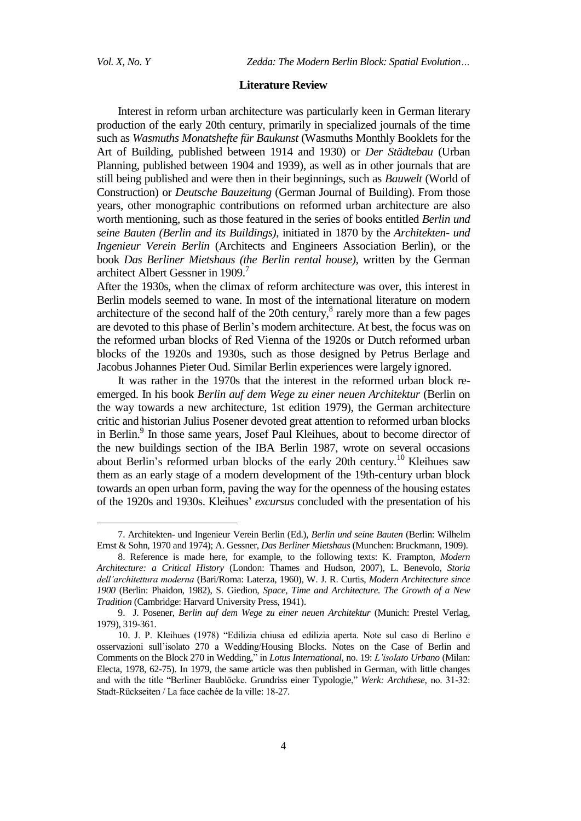#### **Literature Review**

Interest in reform urban architecture was particularly keen in German literary production of the early 20th century, primarily in specialized journals of the time such as *Wasmuths Monatshefte für Baukunst* (Wasmuths Monthly Booklets for the Art of Building, published between 1914 and 1930) or *Der Städtebau* (Urban Planning, published between 1904 and 1939), as well as in other journals that are still being published and were then in their beginnings, such as *Bauwelt* (World of Construction) or *Deutsche Bauzeitung* (German Journal of Building). From those years, other monographic contributions on reformed urban architecture are also worth mentioning, such as those featured in the series of books entitled *Berlin und seine Bauten (Berlin and its Buildings)*, initiated in 1870 by the *Architekten- und Ingenieur Verein Berlin* (Architects and Engineers Association Berlin), or the book *Das Berliner Mietshaus (the Berlin rental house),* written by the German architect Albert Gessner in 1909.<sup>7</sup>

After the 1930s, when the climax of reform architecture was over, this interest in Berlin models seemed to wane. In most of the international literature on modern architecture of the second half of the 20th century,<sup>8</sup> rarely more than a few pages are devoted to this phase of Berlin's modern architecture. At best, the focus was on the reformed urban blocks of Red Vienna of the 1920s or Dutch reformed urban blocks of the 1920s and 1930s, such as those designed by Petrus Berlage and Jacobus Johannes Pieter Oud. Similar Berlin experiences were largely ignored.

It was rather in the 1970s that the interest in the reformed urban block reemerged. In his book *Berlin auf dem Wege zu einer neuen Architektur* (Berlin on the way towards a new architecture, 1st edition 1979), the German architecture critic and historian Julius Posener devoted great attention to reformed urban blocks in Berlin.<sup>9</sup> In those same years, Josef Paul Kleihues, about to become director of the new buildings section of the IBA Berlin 1987, wrote on several occasions about Berlin's reformed urban blocks of the early 20th century.<sup>10</sup> Kleihues saw them as an early stage of a modern development of the 19th-century urban block towards an open urban form, paving the way for the openness of the housing estates of the 1920s and 1930s. Kleihues' *excursus* concluded with the presentation of his

<sup>7.</sup> Architekten- und Ingenieur Verein Berlin (Ed.), *Berlin und seine Bauten* (Berlin: Wilhelm Ernst & Sohn, 1970 and 1974); A. Gessner, *Das Berliner Mietshaus* (Munchen: Bruckmann, 1909).

<sup>8.</sup> Reference is made here, for example, to the following texts: K. Frampton, *Modern Architecture: a Critical History* (London: Thames and Hudson, 2007), L. Benevolo, *Storia dell'architettura moderna* (Bari/Roma: Laterza, 1960), W. J. R. Curtis, *Modern Architecture since 1900* (Berlin: Phaidon, 1982), S. Giedion, *Space, Time and Architecture. The Growth of a New Tradition* (Cambridge: Harvard University Press, 1941).

<sup>9.</sup> J. Posener, *Berlin auf dem Wege zu einer neuen Architektur* (Munich: Prestel Verlag, 1979), 319-361.

<sup>10.</sup> J. P. Kleihues (1978) "Edilizia chiusa ed edilizia aperta. Note sul caso di Berlino e osservazioni sull'isolato 270 a Wedding/Housing Blocks. Notes on the Case of Berlin and Comments on the Block 270 in Wedding," in *Lotus International*, no. 19: *L'isolato Urbano* (Milan: Electa, 1978, 62-75). In 1979, the same article was then published in German, with little changes and with the title "Berliner Baublöcke. Grundriss einer Typologie," Werk: Archthese, no. 31-32: Stadt-Rückseiten / La face cachée de la ville: 18-27.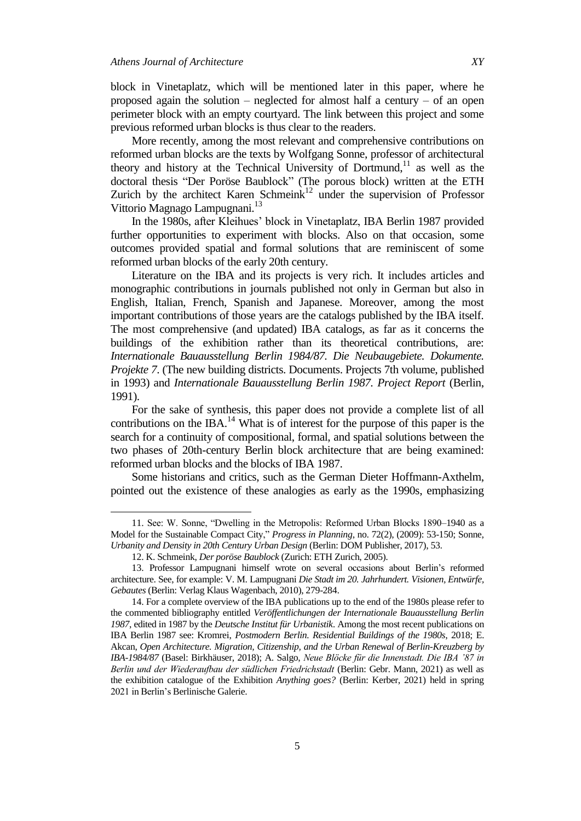block in Vinetaplatz, which will be mentioned later in this paper, where he proposed again the solution – neglected for almost half a century – of an open perimeter block with an empty courtyard. The link between this project and some previous reformed urban blocks is thus clear to the readers.

More recently, among the most relevant and comprehensive contributions on reformed urban blocks are the texts by Wolfgang Sonne, professor of architectural theory and history at the Technical University of Dortmund,<sup>11</sup> as well as the doctoral thesis "Der Poröse Baublock" (The porous block) written at the ETH Zurich by the architect Karen Schmein $k<sup>12</sup>$  under the supervision of Professor Vittorio Magnago Lampugnani.<sup>13</sup>

In the 1980s, after Kleihues' block in Vinetaplatz, IBA Berlin 1987 provided further opportunities to experiment with blocks. Also on that occasion, some outcomes provided spatial and formal solutions that are reminiscent of some reformed urban blocks of the early 20th century.

Literature on the IBA and its projects is very rich. It includes articles and monographic contributions in journals published not only in German but also in English, Italian, French, Spanish and Japanese. Moreover, among the most important contributions of those years are the catalogs published by the IBA itself. The most comprehensive (and updated) IBA catalogs, as far as it concerns the buildings of the exhibition rather than its theoretical contributions, are: *Internationale Bauausstellung Berlin 1984/87. Die Neubaugebiete. Dokumente. Projekte 7*. (The new building districts. Documents. Projects 7th volume, published in 1993) and *Internationale Bauausstellung Berlin 1987. Project Report* (Berlin, 1991).

For the sake of synthesis, this paper does not provide a complete list of all contributions on the IBA.<sup>14</sup> What is of interest for the purpose of this paper is the search for a continuity of compositional, formal, and spatial solutions between the two phases of 20th-century Berlin block architecture that are being examined: reformed urban blocks and the blocks of IBA 1987.

Some historians and critics, such as the German Dieter Hoffmann-Axthelm, pointed out the existence of these analogies as early as the 1990s, emphasizing

<sup>11.</sup> See: W. Sonne, "Dwelling in the Metropolis: Reformed Urban Blocks 1890–1940 as a Model for the Sustainable Compact City," Progress in Planning, no. 72(2), (2009): 53-150; Sonne, *Urbanity and Density in 20th Century Urban Design* (Berlin: DOM Publisher, 2017), 53.

<sup>12.</sup> K. Schmeink, *Der poröse Baublock* (Zurich: ETH Zurich, 2005).

<sup>13.</sup> Professor Lampugnani himself wrote on several occasions about Berlin's reformed architecture. See, for example: V. M. Lampugnani *Die Stadt im 20. Jahrhundert. Visionen, Entwürfe, Gebautes* (Berlin: Verlag Klaus Wagenbach, 2010), 279-284.

<sup>14.</sup> For a complete overview of the IBA publications up to the end of the 1980s please refer to the commented bibliography entitled *Veröffentlichungen der Internationale Bauausstellung Berlin 1987*, edited in 1987 by the *Deutsche Institut für Urbanistik*. Among the most recent publications on IBA Berlin 1987 see: Kromrei, *Postmodern Berlin. Residential Buildings of the 1980s*, 2018; E. Akcan, *Open Architecture. Migration, Citizenship, and the Urban Renewal of Berlin-Kreuzberg by*  IBA-1984/87 (Basel: Birkhäuser, 2018); A. Salgo, *Neue Blöcke für die Innenstadt. Die IBA '87 in* Berlin und der Wiederaufbau der südlichen Friedrichstadt (Berlin: Gebr. Mann, 2021) as well as the exhibition catalogue of the Exhibition *Anything goes?* (Berlin: Kerber, 2021) held in spring 2021 in Berlin's Berlinische Galerie.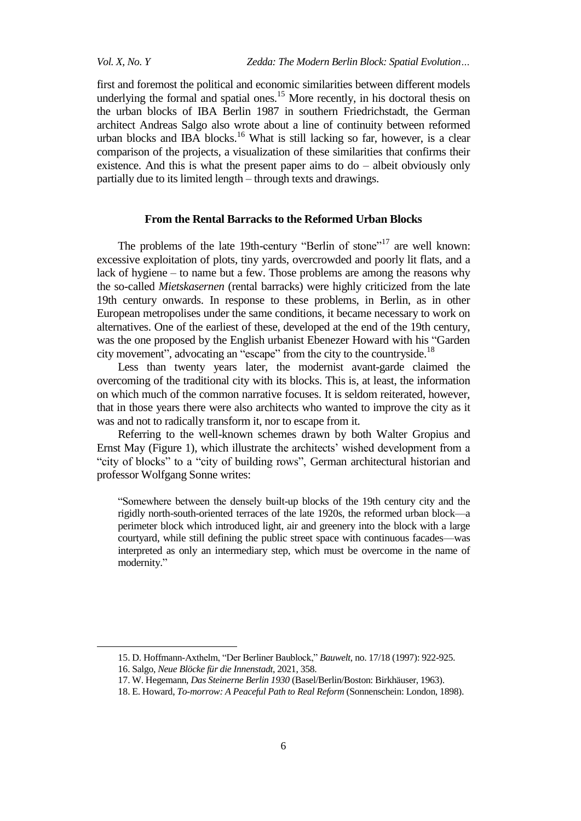first and foremost the political and economic similarities between different models underlying the formal and spatial ones.<sup>15</sup> More recently, in his doctoral thesis on the urban blocks of IBA Berlin 1987 in southern Friedrichstadt, the German architect Andreas Salgo also wrote about a line of continuity between reformed urban blocks and IBA blocks. <sup>16</sup> What is still lacking so far, however, is a clear comparison of the projects, a visualization of these similarities that confirms their existence. And this is what the present paper aims to  $do$  – albeit obviously only partially due to its limited length – through texts and drawings.

#### **From the Rental Barracks to the Reformed Urban Blocks**

The problems of the late 19th-century "Berlin of stone"<sup>17</sup> are well known: excessive exploitation of plots, tiny yards, overcrowded and poorly lit flats, and a lack of hygiene – to name but a few. Those problems are among the reasons why the so-called *Mietskasernen* (rental barracks) were highly criticized from the late 19th century onwards. In response to these problems, in Berlin, as in other European metropolises under the same conditions, it became necessary to work on alternatives. One of the earliest of these, developed at the end of the 19th century, was the one proposed by the English urbanist Ebenezer Howard with his "Garden" city movement", advocating an "escape" from the city to the countryside.<sup>18</sup>

Less than twenty years later, the modernist avant-garde claimed the overcoming of the traditional city with its blocks. This is, at least, the information on which much of the common narrative focuses. It is seldom reiterated, however, that in those years there were also architects who wanted to improve the city as it was and not to radically transform it, nor to escape from it.

Referring to the well-known schemes drawn by both Walter Gropius and Ernst May (Figure 1), which illustrate the architects' wished development from a "city of blocks" to a "city of building rows", German architectural historian and professor Wolfgang Sonne writes:

―Somewhere between the densely built-up blocks of the 19th century city and the rigidly north-south-oriented terraces of the late 1920s, the reformed urban block—a perimeter block which introduced light, air and greenery into the block with a large courtyard, while still defining the public street space with continuous facades—was interpreted as only an intermediary step, which must be overcome in the name of modernity."

<sup>15.</sup> D. Hoffmann-Axthelm, "Der Berliner Baublock," *Bauwelt*, no. 17/18 (1997): 922-925.

<sup>16.</sup> Salgo, *Neue Blöcke für die Innenstadt*, 2021, 358.

<sup>17.</sup> W. Hegemann, *Das Steinerne Berlin 1930* (Basel/Berlin/Boston: Birkhäuser, 1963).

<sup>18.</sup> E. Howard, *To-morrow: A Peaceful Path to Real Reform* (Sonnenschein: London, 1898).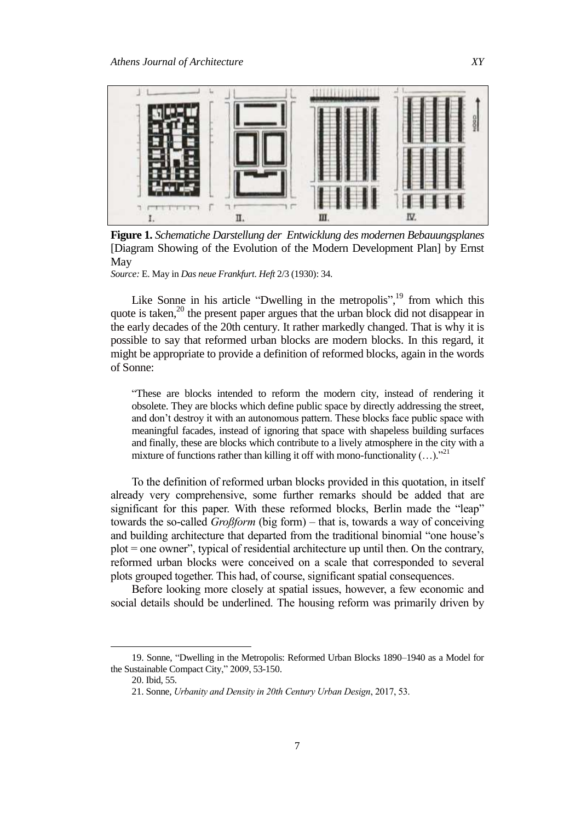

**Figure 1.** *Schematiche Darstellung der Entwicklung des modernen Bebauungsplanes* [Diagram Showing of the Evolution of the Modern Development Plan] by Ernst May

*Source:* E. May in *Das neue Frankfurt*. *Heft* 2/3 (1930): 34.

Like Sonne in his article "Dwelling in the metropolis", $^{19}$  from which this quote is taken,<sup>20</sup> the present paper argues that the urban block did not disappear in the early decades of the 20th century. It rather markedly changed. That is why it is possible to say that reformed urban blocks are modern blocks. In this regard, it might be appropriate to provide a definition of reformed blocks, again in the words of Sonne:

―These are blocks intended to reform the modern city, instead of rendering it obsolete. They are blocks which define public space by directly addressing the street, and don't destroy it with an autonomous pattern. These blocks face public space with meaningful facades, instead of ignoring that space with shapeless building surfaces and finally, these are blocks which contribute to a lively atmosphere in the city with a mixture of functions rather than killing it off with mono-functionality  $(\ldots)$ .<sup>21</sup>

To the definition of reformed urban blocks provided in this quotation, in itself already very comprehensive, some further remarks should be added that are significant for this paper. With these reformed blocks, Berlin made the "leap" towards the so-called *Großform* (big form) – that is, towards a way of conceiving and building architecture that departed from the traditional binomial "one house's  $plot = one owner$ , typical of residential architecture up until then. On the contrary, reformed urban blocks were conceived on a scale that corresponded to several plots grouped together. This had, of course, significant spatial consequences.

Before looking more closely at spatial issues, however, a few economic and social details should be underlined. The housing reform was primarily driven by

<sup>19.</sup> Sonne, "Dwelling in the Metropolis: Reformed Urban Blocks 1890–1940 as a Model for the Sustainable Compact City," 2009, 53-150.

<sup>20.</sup> Ibid, 55.

<sup>21.</sup> Sonne, *Urbanity and Density in 20th Century Urban Design*, 2017, 53.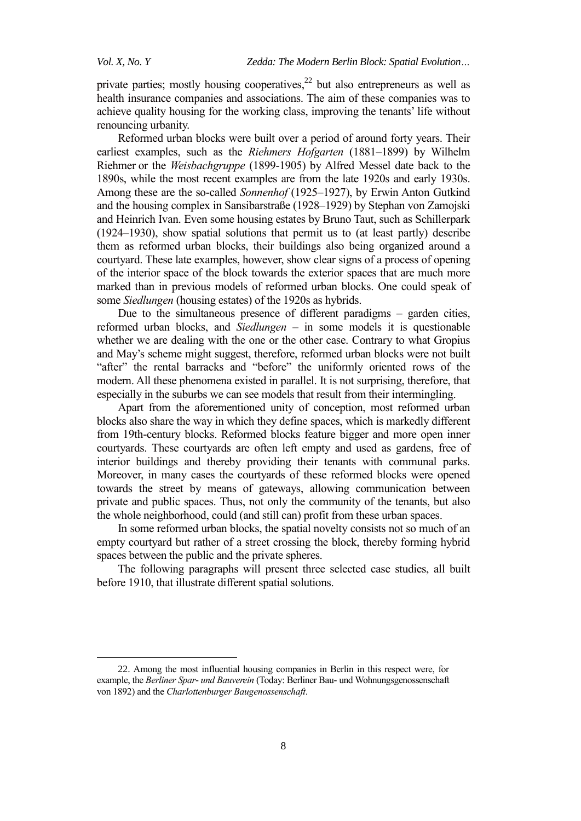private parties; mostly housing cooperatives, $^{22}$  but also entrepreneurs as well as health insurance companies and associations. The aim of these companies was to achieve quality housing for the working class, improving the tenants' life without renouncing urbanity.

Reformed urban blocks were built over a period of around forty years. Their earliest examples, such as the *Riehmers Hofgarten* (1881–1899) by Wilhelm Riehmer or the *Weisbachgruppe* (1899-1905) by Alfred Messel date back to the 1890s, while the most recent examples are from the late 1920s and early 1930s. Among these are the so-called *Sonnenhof* (1925–1927), by Erwin Anton Gutkind and the housing complex in Sansibarstraße (1928–1929) by Stephan von Zamojski and Heinrich Ivan. Even some housing estates by Bruno Taut, such as Schillerpark (1924–1930), show spatial solutions that permit us to (at least partly) describe them as reformed urban blocks, their buildings also being organized around a courtyard. These late examples, however, show clear signs of a process of opening of the interior space of the block towards the exterior spaces that are much more marked than in previous models of reformed urban blocks. One could speak of some *Siedlungen* (housing estates) of the 1920s as hybrids.

Due to the simultaneous presence of different paradigms – garden cities, reformed urban blocks, and *Siedlungen* – in some models it is questionable whether we are dealing with the one or the other case. Contrary to what Gropius and May's scheme might suggest, therefore, reformed urban blocks were not built "after" the rental barracks and "before" the uniformly oriented rows of the modern. All these phenomena existed in parallel. It is not surprising, therefore, that especially in the suburbs we can see models that result from their intermingling.

Apart from the aforementioned unity of conception, most reformed urban blocks also share the way in which they define spaces, which is markedly different from 19th-century blocks. Reformed blocks feature bigger and more open inner courtyards. These courtyards are often left empty and used as gardens, free of interior buildings and thereby providing their tenants with communal parks. Moreover, in many cases the courtyards of these reformed blocks were opened towards the street by means of gateways, allowing communication between private and public spaces. Thus, not only the community of the tenants, but also the whole neighborhood, could (and still can) profit from these urban spaces.

In some reformed urban blocks, the spatial novelty consists not so much of an empty courtyard but rather of a street crossing the block, thereby forming hybrid spaces between the public and the private spheres.

The following paragraphs will present three selected case studies, all built before 1910, that illustrate different spatial solutions.

<sup>22.</sup> Among the most influential housing companies in Berlin in this respect were, for example, the *Berliner Spar- und Bauverein* (Today: Berliner Bau- und Wohnungsgenossenschaft von 1892) and the *Charlottenburger Baugenossenschaft*.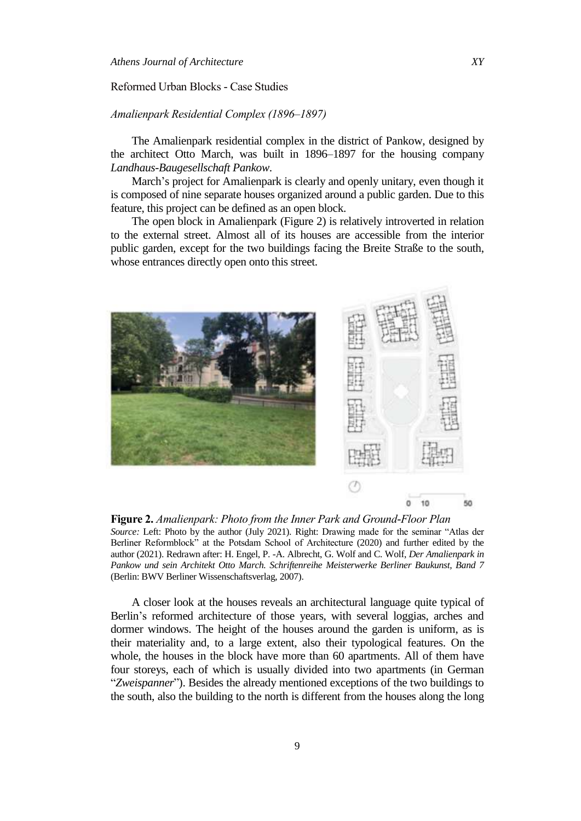#### Reformed Urban Blocks - Case Studies

#### *malienpark Residential Complex (1896–189 )*

The Amalienpark residential complex in the district of Pankow, designed by the architect Otto March, was built in 1896–1897 for the housing company *Landhaus-Baugesellschaft Pankow*.

March's project for Amalienpark is clearly and openly unitary, even though it is composed of nine separate houses organized around a public garden. Due to this feature, this project can be defined as an open block.

The open block in Amalienpark (Figure 2) is relatively introverted in relation to the external street. Almost all of its houses are accessible from the interior public garden, except for the two buildings facing the Breite Straße to the south, whose entrances directly open onto this street.



**Figure 2.** *malienpark: Photo from the Inner Park and Ground-Floor Plan* Source: Left: Photo by the author (July 2021). Right: Drawing made for the seminar "Atlas der Berliner Reformblock" at the Potsdam School of Architecture (2020) and further edited by the author (2021). Redrawn after: H. Engel, P. -A. Albrecht, G. Wolf and C. Wolf, *Der Amalienpark in Pankow und sein Architekt Otto March. Schriftenreihe Meisterwerke Berliner Baukunst, Band 7* (Berlin: BWV Berliner Wissenschaftsverlag, 2007).

A closer look at the houses reveals an architectural language quite typical of Berlin's reformed architecture of those years, with several loggias, arches and dormer windows. The height of the houses around the garden is uniform, as is their materiality and, to a large extent, also their typological features. On the whole, the houses in the block have more than 60 apartments. All of them have four storeys, each of which is usually divided into two apartments (in German "Zweispanner"). Besides the already mentioned exceptions of the two buildings to the south, also the building to the north is different from the houses along the long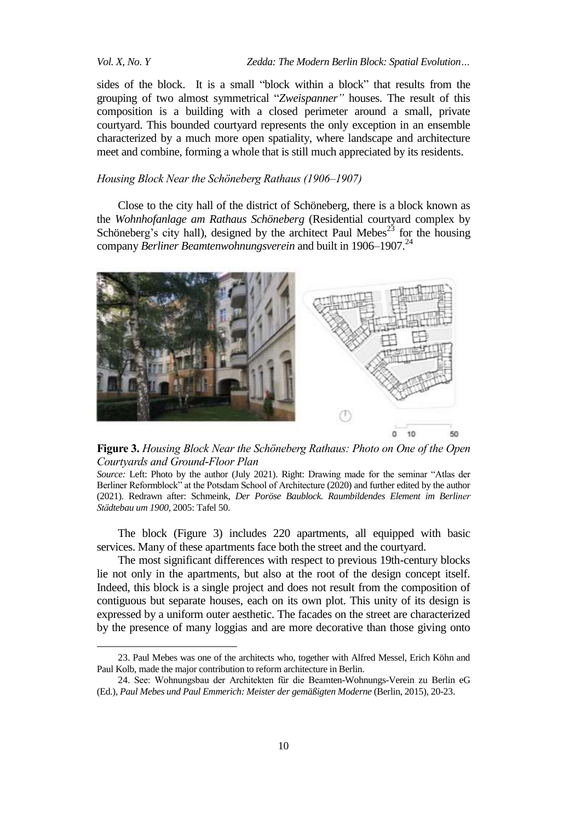*Vol. X, No. Y Zedda: The Modern Berlin Block: Spatial Evolution…*

sides of the block. It is a small "block within a block" that results from the grouping of two almost symmetrical "Zweispanner" houses. The result of this composition is a building with a closed perimeter around a small, private courtyard. This bounded courtyard represents the only exception in an ensemble characterized by a much more open spatiality, where landscape and architecture meet and combine, forming a whole that is still much appreciated by its residents.

#### *Housing Block Near the Schöneberg Rathaus (1906–1907)*

Close to the city hall of the district of Schöneberg, there is a block known as the *Wohnhofanlage am Rathaus Schöneberg* (Residential courtyard complex by Schöneberg's city hall), designed by the architect Paul Mebes<sup>23</sup> for the housing company *Berliner Beamtenwohnungsverein* and built in 1906–1907. 24



**Figure 3.** *Housing Block Near the Schöneberg Rathaus: Photo on One of the Open Courtyards and Ground-Floor Plan*

Source: Left: Photo by the author (July 2021). Right: Drawing made for the seminar "Atlas der Berliner Reformblock" at the Potsdam School of Architecture (2020) and further edited by the author (2021). Redrawn after: Schmeink, *Der Poröse Baublock. Raumbildendes Element im Berliner St dtebau um 1900,* 2005: Tafel 50.

The block (Figure 3) includes 220 apartments, all equipped with basic services. Many of these apartments face both the street and the courtyard.

The most significant differences with respect to previous 19th-century blocks lie not only in the apartments, but also at the root of the design concept itself. Indeed, this block is a single project and does not result from the composition of contiguous but separate houses, each on its own plot. This unity of its design is expressed by a uniform outer aesthetic. The facades on the street are characterized by the presence of many loggias and are more decorative than those giving onto

<sup>23.</sup> Paul Mebes was one of the architects who, together with Alfred Messel, Erich Köhn and Paul Kolb, made the major contribution to reform architecture in Berlin.

<sup>24.</sup> See: Wohnungsbau der Architekten für die Beamten-Wohnungs-Verein zu Berlin eG (Ed.), *Paul Mebes und Paul Emmerich: Meister der gemäßigten Moderne* (Berlin, 2015), 20-23.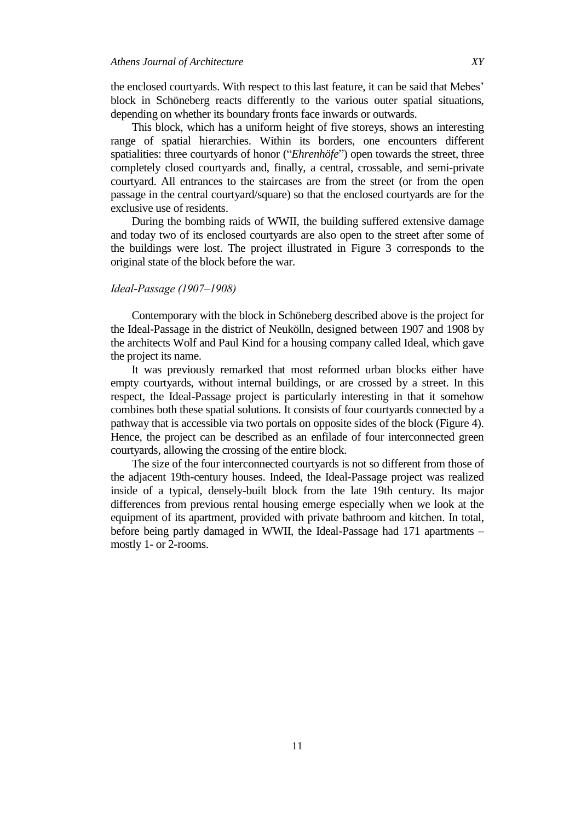the enclosed courtyards. With respect to this last feature, it can be said that Mebes' block in Schöneberg reacts differently to the various outer spatial situations, depending on whether its boundary fronts face inwards or outwards.

This block, which has a uniform height of five storeys, shows an interesting range of spatial hierarchies. Within its borders, one encounters different spatialities: three courtyards of honor ("*Ehrenhöfe*") open towards the street, three completely closed courtyards and, finally, a central, crossable, and semi-private courtyard. All entrances to the staircases are from the street (or from the open passage in the central courtyard/square) so that the enclosed courtyards are for the exclusive use of residents.

During the bombing raids of WWII, the building suffered extensive damage and today two of its enclosed courtyards are also open to the street after some of the buildings were lost. The project illustrated in Figure 3 corresponds to the original state of the block before the war.

#### *Ideal-Passage (190 –1908)*

Contemporary with the block in Schöneberg described above is the project for the Ideal-Passage in the district of Neukölln, designed between 1907 and 1908 by the architects Wolf and Paul Kind for a housing company called Ideal, which gave the project its name.

It was previously remarked that most reformed urban blocks either have empty courtyards, without internal buildings, or are crossed by a street. In this respect, the Ideal-Passage project is particularly interesting in that it somehow combines both these spatial solutions. It consists of four courtyards connected by a pathway that is accessible via two portals on opposite sides of the block (Figure 4). Hence, the project can be described as an enfilade of four interconnected green courtyards, allowing the crossing of the entire block.

The size of the four interconnected courtyards is not so different from those of the adjacent 19th-century houses. Indeed, the Ideal-Passage project was realized inside of a typical, densely-built block from the late 19th century. Its major differences from previous rental housing emerge especially when we look at the equipment of its apartment, provided with private bathroom and kitchen. In total, before being partly damaged in WWII, the Ideal-Passage had 171 apartments – mostly 1- or 2-rooms.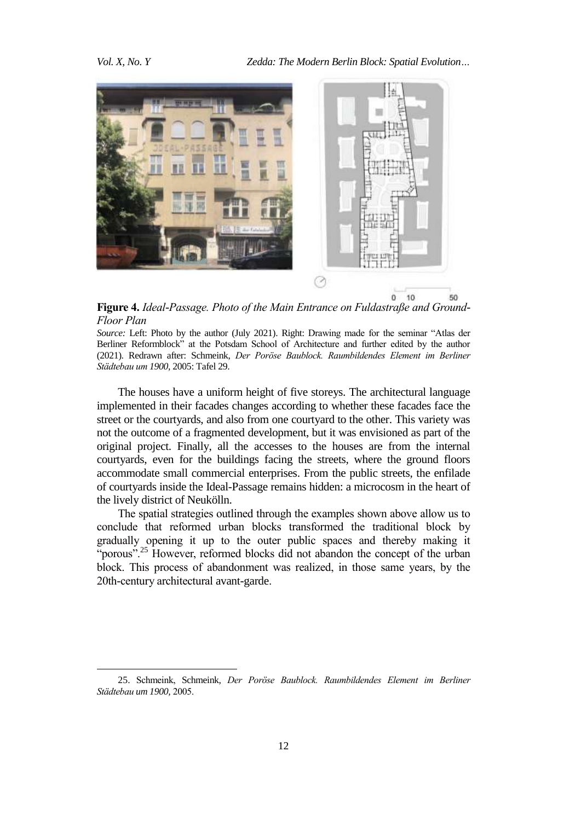

**Figure 4.** *Ideal-Passage. Photo of the Main Entrance on Fuldastraße and Ground-Floor Plan* 

*Source:* Left: Photo by the author (July 2021). Right: Drawing made for the seminar "Atlas der Berliner Reformblock" at the Potsdam School of Architecture and further edited by the author (2021). Redrawn after: Schmeink, *Der Poröse Baublock. Raumbildendes Element im Berliner St dtebau um 1900,* 2005: Tafel 29.

The houses have a uniform height of five storeys. The architectural language implemented in their facades changes according to whether these facades face the street or the courtyards, and also from one courtyard to the other. This variety was not the outcome of a fragmented development, but it was envisioned as part of the original project. Finally, all the accesses to the houses are from the internal courtyards, even for the buildings facing the streets, where the ground floors accommodate small commercial enterprises. From the public streets, the enfilade of courtyards inside the Ideal-Passage remains hidden: a microcosm in the heart of the lively district of Neukölln.

The spatial strategies outlined through the examples shown above allow us to conclude that reformed urban blocks transformed the traditional block by gradually opening it up to the outer public spaces and thereby making it "porous".<sup>25</sup> However, reformed blocks did not abandon the concept of the urban block. This process of abandonment was realized, in those same years, by the 20th-century architectural avant-garde.

<sup>25.</sup> Schmeink, Schmeink, *Der Poröse Baublock. Raumbildendes Element im Berliner St dtebau um 1900,* 2005.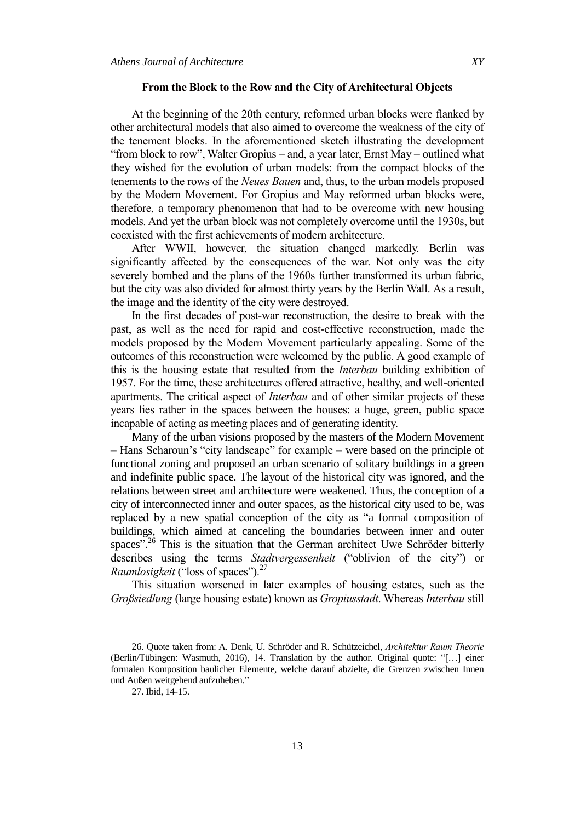#### **From the Block to the Row and the City of Architectural Objects**

At the beginning of the 20th century, reformed urban blocks were flanked by other architectural models that also aimed to overcome the weakness of the city of the tenement blocks. In the aforementioned sketch illustrating the development "from block to row", Walter Gropius – and, a year later, Ernst May – outlined what they wished for the evolution of urban models: from the compact blocks of the tenements to the rows of the *Neues Bauen* and, thus, to the urban models proposed by the Modern Movement. For Gropius and May reformed urban blocks were, therefore, a temporary phenomenon that had to be overcome with new housing models. And yet the urban block was not completely overcome until the 1930s, but coexisted with the first achievements of modern architecture.

After WWII, however, the situation changed markedly. Berlin was significantly affected by the consequences of the war. Not only was the city severely bombed and the plans of the 1960s further transformed its urban fabric, but the city was also divided for almost thirty years by the Berlin Wall. As a result, the image and the identity of the city were destroyed.

In the first decades of post-war reconstruction, the desire to break with the past, as well as the need for rapid and cost-effective reconstruction, made the models proposed by the Modern Movement particularly appealing. Some of the outcomes of this reconstruction were welcomed by the public. A good example of this is the housing estate that resulted from the *Interbau* building exhibition of 1957. For the time, these architectures offered attractive, healthy, and well-oriented apartments. The critical aspect of *Interbau* and of other similar projects of these years lies rather in the spaces between the houses: a huge, green, public space incapable of acting as meeting places and of generating identity.

Many of the urban visions proposed by the masters of the Modern Movement – Hans Scharoun's "city landscape" for example – were based on the principle of functional zoning and proposed an urban scenario of solitary buildings in a green and indefinite public space. The layout of the historical city was ignored, and the relations between street and architecture were weakened. Thus, the conception of a city of interconnected inner and outer spaces, as the historical city used to be, was replaced by a new spatial conception of the city as "a formal composition of buildings, which aimed at canceling the boundaries between inner and outer spaces".<sup>26</sup> This is the situation that the German architect Uwe Schröder bitterly describes using the terms *Stadtvergessenheit* ("oblivion of the city") or *Raumlosigkeit* ("loss of spaces").<sup>27</sup>

This situation worsened in later examples of housing estates, such as the *Großsiedlung* (large housing estate) known as *Gropiusstadt*. Whereas *Interbau* still

<sup>26.</sup> Quote taken from: A. Denk, U. Schröder and R. Schützeichel, *rchitektur Raum Theorie*  (Berlin/Tübingen: Wasmuth, 2016), 14. Translation by the author. Original quote: "[...] einer formalen Komposition baulicher Elemente, welche darauf abzielte, die Grenzen zwischen Innen und Außen weitgehend aufzuheben."

<sup>27.</sup> Ibid, 14-15.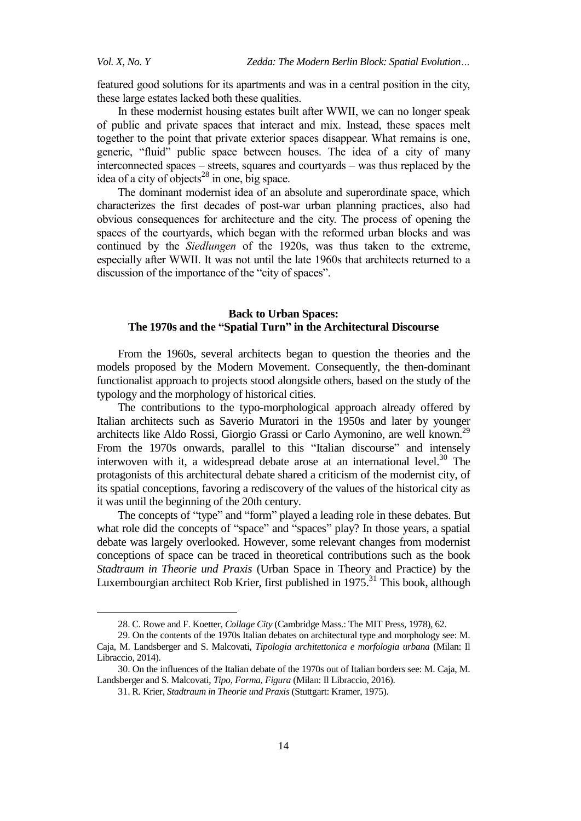*Vol. X, No. Y Zedda: The Modern Berlin Block: Spatial Evolution…*

featured good solutions for its apartments and was in a central position in the city, these large estates lacked both these qualities.

In these modernist housing estates built after WWII, we can no longer speak of public and private spaces that interact and mix. Instead, these spaces melt together to the point that private exterior spaces disappear. What remains is one, generic, "fluid" public space between houses. The idea of a city of many interconnected spaces – streets, squares and courtyards – was thus replaced by the idea of a city of objects<sup>28</sup> in one, big space.

The dominant modernist idea of an absolute and superordinate space, which characterizes the first decades of post-war urban planning practices, also had obvious consequences for architecture and the city. The process of opening the spaces of the courtyards, which began with the reformed urban blocks and was continued by the *Siedlungen* of the 1920s, was thus taken to the extreme, especially after WWII. It was not until the late 1960s that architects returned to a discussion of the importance of the "city of spaces".

### **Back to Urban Spaces: The 1970s and the "Spatial Turn" in the Architectural Discourse**

From the 1960s, several architects began to question the theories and the models proposed by the Modern Movement. Consequently, the then-dominant functionalist approach to projects stood alongside others, based on the study of the typology and the morphology of historical cities.

The contributions to the typo-morphological approach already offered by Italian architects such as Saverio Muratori in the 1950s and later by younger architects like Aldo Rossi, Giorgio Grassi or Carlo Aymonino, are well known.<sup>29</sup> From the 1970s onwards, parallel to this "Italian discourse" and intensely interwoven with it, a widespread debate arose at an international level. <sup>30</sup> The protagonists of this architectural debate shared a criticism of the modernist city, of its spatial conceptions, favoring a rediscovery of the values of the historical city as it was until the beginning of the 20th century.

The concepts of "type" and "form" played a leading role in these debates. But what role did the concepts of "space" and "spaces" play? In those years, a spatial debate was largely overlooked. However, some relevant changes from modernist conceptions of space can be traced in theoretical contributions such as the book *Stadtraum in Theorie und Praxis* (Urban Space in Theory and Practice) by the Luxembourgian architect Rob Krier, first published in 1975.<sup>31</sup> This book, although

<sup>28.</sup> C. Rowe and F. Koetter, *Collage City* (Cambridge Mass.: The MIT Press, 1978), 62.

<sup>29.</sup> On the contents of the 1970s Italian debates on architectural type and morphology see: M. Caja, M. Landsberger and S. Malcovati, *Tipologia architettonica e morfologia urbana* (Milan: Il Libraccio, 2014).

<sup>30.</sup> On the influences of the Italian debate of the 1970s out of Italian borders see: M. Caja, M. Landsberger and S. Malcovati, *Tipo, Forma, Figura* (Milan: Il Libraccio, 2016).

<sup>31.</sup> R. Krier, *Stadtraum in Theorie und Praxis* (Stuttgart: Kramer, 1975).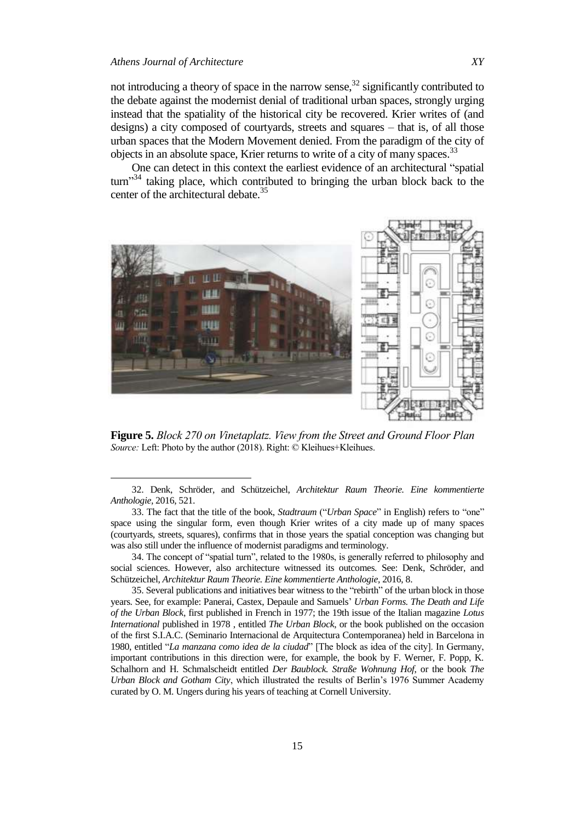not introducing a theory of space in the narrow sense, $3^2$  significantly contributed to the debate against the modernist denial of traditional urban spaces, strongly urging instead that the spatiality of the historical city be recovered. Krier writes of (and designs) a city composed of courtyards, streets and squares – that is, of all those urban spaces that the Modern Movement denied. From the paradigm of the city of objects in an absolute space, Krier returns to write of a city of many spaces.<sup>33</sup>

One can detect in this context the earliest evidence of an architectural "spatial"  $turn$ <sup>34</sup> taking place, which contributed to bringing the urban block back to the center of the architectural debate.<sup>35</sup>



**Figure 5.** *Block 270 on Vinetaplatz. View from the Street and Ground Floor Plan Source: Left: Photo by the author (2018). Right: © Kleihues+Kleihues.* 

34. The concept of "spatial turn", related to the 1980s, is generally referred to philosophy and social sciences. However, also architecture witnessed its outcomes. See: Denk, Schröder, and Schützeichel, *Architektur Raum Theorie. Eine kommentierte Anthologie,* 2016, 8.

35. Several publications and initiatives bear witness to the "rebirth" of the urban block in those years. See, for example: Panerai, Castex, Depaule and Samuels' *Urban Forms. The Death and Life of the Urban Block*, first published in French in 1977; the 19th issue of the Italian magazine *Lotus International* published in 1978 , entitled *The Urban Block*, or the book published on the occasion of the first S.I.A.C. (Seminario Internacional de Arquitectura Contemporanea) held in Barcelona in 1980, entitled "*La manzana como idea de la ciudad*" [The block as idea of the city]. In Germany, important contributions in this direction were, for example, the book by F. Werner, F. Popp, K. Schalhorn and H. Schmalscheidt entitled *Der Baublock. Straße Wohnung Hof*, or the book *The Urban Block and Gotham City*, which illustrated the results of Berlin's 1976 Summer Academy curated by O. M. Ungers during his years of teaching at Cornell University.

<sup>32.</sup> Denk, Schröder, and Schützeichel, *Architektur Raum Theorie. Eine kommentierte Anthologie,* 2016, 521.

<sup>33.</sup> The fact that the title of the book, *Stadtraum* ("*Urban Space*" in English) refers to "one" space using the singular form, even though Krier writes of a city made up of many spaces (courtyards, streets, squares), confirms that in those years the spatial conception was changing but was also still under the influence of modernist paradigms and terminology.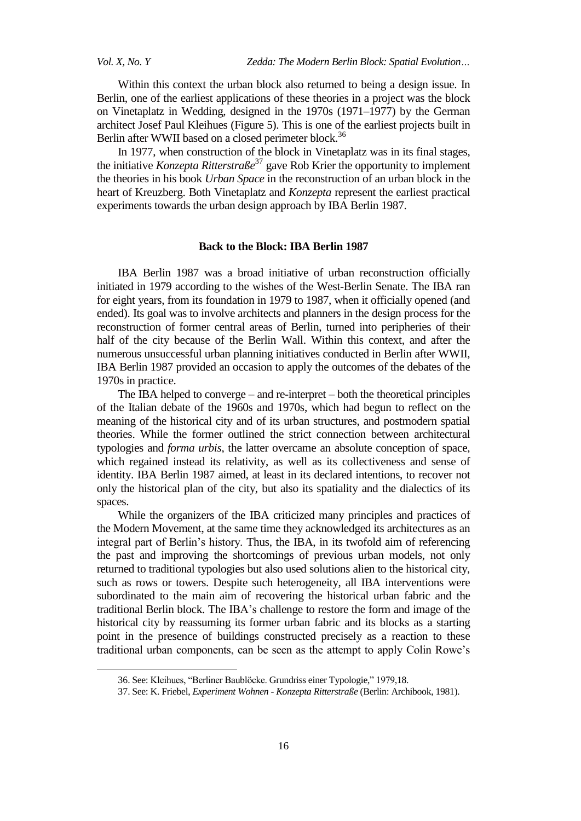Within this context the urban block also returned to being a design issue. In Berlin, one of the earliest applications of these theories in a project was the block on Vinetaplatz in Wedding, designed in the 1970s (1971–1977) by the German architect Josef Paul Kleihues (Figure 5). This is one of the earliest projects built in Berlin after WWII based on a closed perimeter block.<sup>36</sup>

In 1977, when construction of the block in Vinetaplatz was in its final stages, the initiative *Konzepta Ritterstraße* <sup>37</sup> gave Rob Krier the opportunity to implement the theories in his book *Urban Space* in the reconstruction of an urban block in the heart of Kreuzberg. Both Vinetaplatz and *Konzepta* represent the earliest practical experiments towards the urban design approach by IBA Berlin 1987.

#### **Back to the Block: IBA Berlin 1987**

IBA Berlin 1987 was a broad initiative of urban reconstruction officially initiated in 1979 according to the wishes of the West-Berlin Senate. The IBA ran for eight years, from its foundation in 1979 to 1987, when it officially opened (and ended). Its goal was to involve architects and planners in the design process for the reconstruction of former central areas of Berlin, turned into peripheries of their half of the city because of the Berlin Wall. Within this context, and after the numerous unsuccessful urban planning initiatives conducted in Berlin after WWII, IBA Berlin 1987 provided an occasion to apply the outcomes of the debates of the 1970s in practice.

The IBA helped to converge – and re-interpret – both the theoretical principles of the Italian debate of the 1960s and 1970s, which had begun to reflect on the meaning of the historical city and of its urban structures, and postmodern spatial theories. While the former outlined the strict connection between architectural typologies and *forma urbis*, the latter overcame an absolute conception of space, which regained instead its relativity, as well as its collectiveness and sense of identity. IBA Berlin 1987 aimed, at least in its declared intentions, to recover not only the historical plan of the city, but also its spatiality and the dialectics of its spaces.

While the organizers of the IBA criticized many principles and practices of the Modern Movement, at the same time they acknowledged its architectures as an integral part of Berlin's history. Thus, the IBA, in its twofold aim of referencing the past and improving the shortcomings of previous urban models, not only returned to traditional typologies but also used solutions alien to the historical city, such as rows or towers. Despite such heterogeneity, all IBA interventions were subordinated to the main aim of recovering the historical urban fabric and the traditional Berlin block. The IBA's challenge to restore the form and image of the historical city by reassuming its former urban fabric and its blocks as a starting point in the presence of buildings constructed precisely as a reaction to these traditional urban components, can be seen as the attempt to apply Colin Rowe's

<sup>36.</sup> See: Kleihues, "Berliner Baublöcke. Grundriss einer Typologie," 1979,18.

<sup>37.</sup> See: K. Friebel, *Experiment Wohnen - Konzepta Ritterstraße* (Berlin: Archibook, 1981).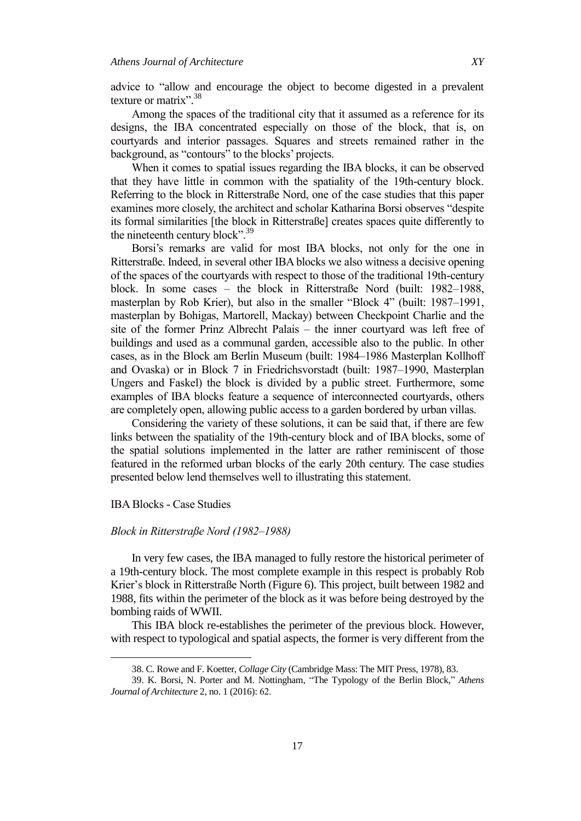advice to "allow and encourage the object to become digested in a prevalent texture or matrix".<sup>38</sup>

Among the spaces of the traditional city that it assumed as a reference for its designs, the IBA concentrated especially on those of the block, that is, on courtyards and interior passages. Squares and streets remained rather in the background, as "contours" to the blocks' projects.

When it comes to spatial issues regarding the IBA blocks, it can be observed that they have little in common with the spatiality of the 19th-century block. Referring to the block in Ritterstraße Nord, one of the case studies that this paper examines more closely, the architect and scholar Katharina Borsi observes "despite its formal similarities [the block in Ritterstraße] creates spaces quite differently to the nineteenth century block".<sup>39</sup>

Borsi's remarks are valid for most IBA blocks, not only for the one in Ritterstraße. Indeed, in several other IBA blocks we also witness a decisive opening of the spaces of the courtyards with respect to those of the traditional 19th-century block. In some cases – the block in Ritterstraße Nord (built: 1982–1988, masterplan by Rob Krier), but also in the smaller "Block 4" (built: 1987–1991, masterplan by Bohigas, Martorell, Mackay) between Checkpoint Charlie and the site of the former Prinz Albrecht Palais – the inner courtyard was left free of buildings and used as a communal garden, accessible also to the public. In other cases, as in the Block am Berlin Museum (built: 1984–1986 Masterplan Kollhoff and Ovaska) or in Block 7 in Friedrichsvorstadt (built: 1987–1990, Masterplan Ungers and Faskel) the block is divided by a public street. Furthermore, some examples of IBA blocks feature a sequence of interconnected courtyards, others are completely open, allowing public access to a garden bordered by urban villas.

Considering the variety of these solutions, it can be said that, if there are few links between the spatiality of the 19th-century block and of IBA blocks, some of the spatial solutions implemented in the latter are rather reminiscent of those featured in the reformed urban blocks of the early 20th century. The case studies presented below lend themselves well to illustrating this statement.

#### IBA Blocks - Case Studies

 $\overline{a}$ 

#### *Block in Ritterstraße Nord (1982–1988)*

In very few cases, the IBA managed to fully restore the historical perimeter of a 19th-century block. The most complete example in this respect is probably Rob Krier's block in Ritterstraße North (Figure 6). This project, built between 1982 and 1988, fits within the perimeter of the block as it was before being destroyed by the bombing raids of WWII.

This IBA block re-establishes the perimeter of the previous block. However, with respect to typological and spatial aspects, the former is very different from the

<sup>38.</sup> C. Rowe and F. Koetter, *Collage City* (Cambridge Mass: The MIT Press, 1978), 83.

<sup>39.</sup> K. Borsi, N. Porter and M. Nottingham, "The Typology of the Berlin Block," Athens *Journal of Architecture* 2, no. 1 (2016): 62.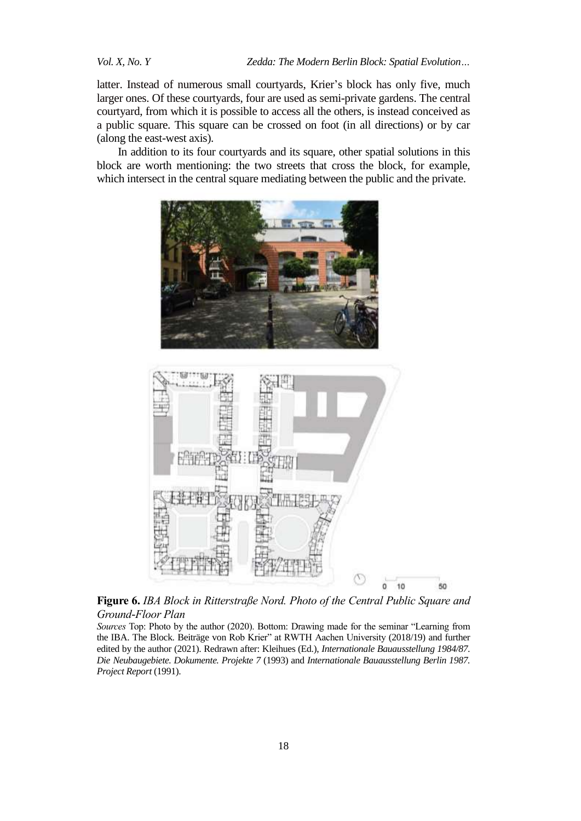latter. Instead of numerous small courtyards, Krier's block has only five, much larger ones. Of these courtyards, four are used as semi-private gardens. The central courtyard, from which it is possible to access all the others, is instead conceived as a public square. This square can be crossed on foot (in all directions) or by car (along the east-west axis).

In addition to its four courtyards and its square, other spatial solutions in this block are worth mentioning: the two streets that cross the block, for example, which intersect in the central square mediating between the public and the private.





**Figure 6.** *IBA Block in Ritterstraße Nord. Photo of the Central Public Square and Ground-Floor Plan*

*Sources* Top: Photo by the author (2020). Bottom: Drawing made for the seminar "Learning from the IBA. The Block. Beiträge von Rob Krier" at RWTH Aachen University (2018/19) and further edited by the author (2021). Redrawn after: Kleihues (Ed.), *Internationale Bauausstellung 1984/87. Die Neubaugebiete. Dokumente. Projekte 7* (1993) and *Internationale Bauausstellung Berlin 1987. Project Report* (1991).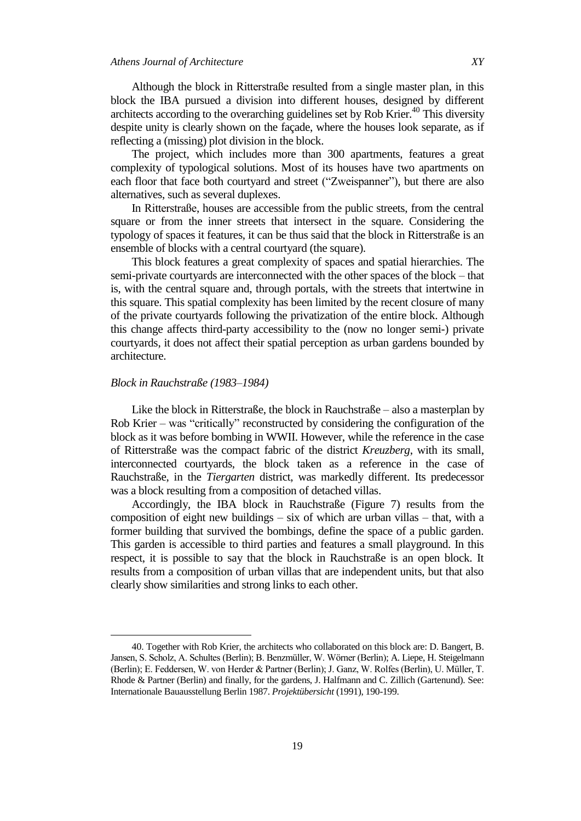Although the block in Ritterstraße resulted from a single master plan, in this block the IBA pursued a division into different houses, designed by different architects according to the overarching guidelines set by Rob Krier.<sup>40</sup> This diversity despite unity is clearly shown on the façade, where the houses look separate, as if reflecting a (missing) plot division in the block.

The project, which includes more than 300 apartments, features a great complexity of typological solutions. Most of its houses have two apartments on each floor that face both courtyard and street ("Zweispanner"), but there are also alternatives, such as several duplexes.

In Ritterstraße, houses are accessible from the public streets, from the central square or from the inner streets that intersect in the square. Considering the typology of spaces it features, it can be thus said that the block in Ritterstraße is an ensemble of blocks with a central courtyard (the square).

This block features a great complexity of spaces and spatial hierarchies. The semi-private courtyards are interconnected with the other spaces of the block – that is, with the central square and, through portals, with the streets that intertwine in this square. This spatial complexity has been limited by the recent closure of many of the private courtyards following the privatization of the entire block. Although this change affects third-party accessibility to the (now no longer semi-) private courtyards, it does not affect their spatial perception as urban gardens bounded by architecture.

#### *Block in Rauchstraße (1983–1984)*

 $\overline{a}$ 

Like the block in Ritterstraße, the block in Rauchstraße – also a masterplan by Rob Krier – was "critically" reconstructed by considering the configuration of the block as it was before bombing in WWII. However, while the reference in the case of Ritterstraße was the compact fabric of the district *Kreuzberg*, with its small, interconnected courtyards, the block taken as a reference in the case of Rauchstraße, in the *Tiergarten* district, was markedly different. Its predecessor was a block resulting from a composition of detached villas.

Accordingly, the IBA block in Rauchstraße (Figure 7) results from the composition of eight new buildings  $-$  six of which are urban villas  $-$  that, with a former building that survived the bombings, define the space of a public garden. This garden is accessible to third parties and features a small playground. In this respect, it is possible to say that the block in Rauchstraße is an open block. It results from a composition of urban villas that are independent units, but that also clearly show similarities and strong links to each other.

<sup>40.</sup> Together with Rob Krier, the architects who collaborated on this block are: D. Bangert, B. Jansen, S. Scholz, A. Schultes (Berlin); B. Benzmüller, W. Wörner (Berlin); A. Liepe, H. Steigelmann (Berlin); E. Feddersen, W. von Herder & Partner (Berlin); J. Ganz, W. Rolfes (Berlin), U. Müller, T. Rhode & Partner (Berlin) and finally, for the gardens, J. Halfmann and C. Zillich (Gartenund). See: Internationale Bauausstellung Berlin 1987. *Projektübersicht* (1991), 190-199.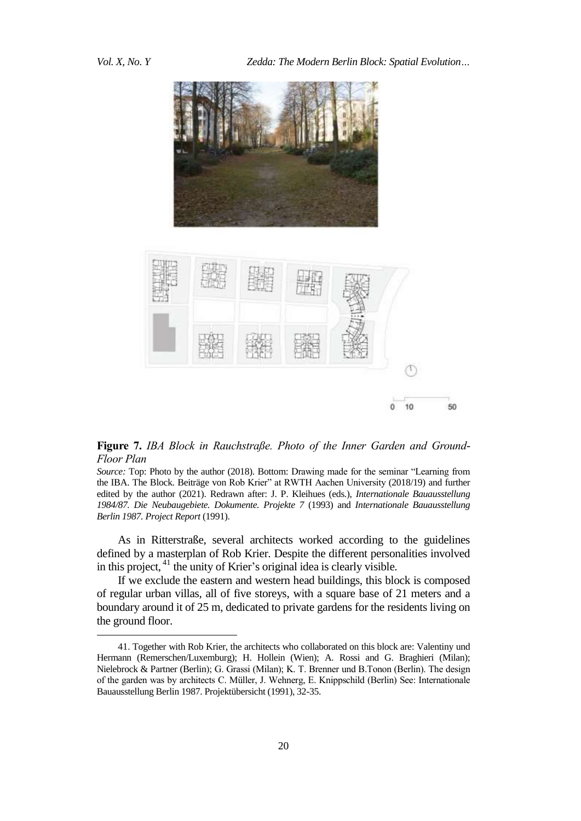



**Figure 7.** IBA Block in Rauchstraße. Photo of the Inner Garden and Ground-*Floor Plan*

*Source:* Top: Photo by the author (2018). Bottom: Drawing made for the seminar "Learning from the IBA. The Block. Beiträge von Rob Krier" at RWTH Aachen University (2018/19) and further edited by the author (2021). Redrawn after: J. P. Kleihues (eds.), *Internationale Bauausstellung 1984/87. Die Neubaugebiete. Dokumente. Projekte 7* (1993) and *Internationale Bauausstellung Berlin 1987. Project Report* (1991).

As in Ritterstraße, several architects worked according to the guidelines defined by a masterplan of Rob Krier. Despite the different personalities involved in this project, <sup>41</sup> the unity of Krier's original idea is clearly visible.

If we exclude the eastern and western head buildings, this block is composed of regular urban villas, all of five storeys, with a square base of 21 meters and a boundary around it of 25 m, dedicated to private gardens for the residents living on the ground floor.

<sup>41.</sup> Together with Rob Krier, the architects who collaborated on this block are: Valentiny und Hermann (Remerschen/Luxemburg); H. Hollein (Wien); A. Rossi and G. Braghieri (Milan); Nielebrock & Partner (Berlin); G. Grassi (Milan); K. T. Brenner und B.Tonon (Berlin). The design of the garden was by architects C. Müller, J. Wehnerg, E. Knippschild (Berlin) See: Internationale Bauausstellung Berlin 1987. Projektübersicht (1991), 32-35.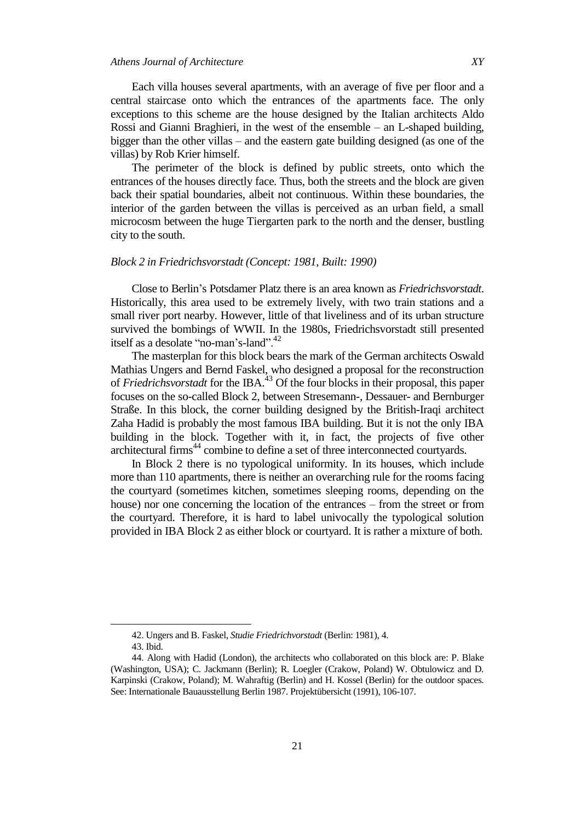Each villa houses several apartments, with an average of five per floor and a central staircase onto which the entrances of the apartments face. The only exceptions to this scheme are the house designed by the Italian architects Aldo Rossi and Gianni Braghieri, in the west of the ensemble – an L-shaped building, bigger than the other villas – and the eastern gate building designed (as one of the villas) by Rob Krier himself.

The perimeter of the block is defined by public streets, onto which the entrances of the houses directly face. Thus, both the streets and the block are given back their spatial boundaries, albeit not continuous. Within these boundaries, the interior of the garden between the villas is perceived as an urban field, a small microcosm between the huge Tiergarten park to the north and the denser, bustling city to the south.

#### *Block 2 in Friedrichsvorstadt (Concept: 1981, Built: 1990)*

Close to Berlin's Potsdamer Platz there is an area known as *Friedrichsvorstadt*. Historically, this area used to be extremely lively, with two train stations and a small river port nearby. However, little of that liveliness and of its urban structure survived the bombings of WWII. In the 1980s, Friedrichsvorstadt still presented itself as a desolate "no-man's-land".<sup>42</sup>

The masterplan for this block bears the mark of the German architects Oswald Mathias Ungers and Bernd Faskel, who designed a proposal for the reconstruction of *Friedrichsvorstadt* for the IBA. <sup>43</sup> Of the four blocks in their proposal, this paper focuses on the so-called Block 2, between Stresemann-, Dessauer- and Bernburger Straße. In this block, the corner building designed by the British-Iraqi architect Zaha Hadid is probably the most famous IBA building. But it is not the only IBA building in the block. Together with it, in fact, the projects of five other architectural firms<sup>44</sup> combine to define a set of three interconnected courtyards.

In Block 2 there is no typological uniformity. In its houses, which include more than 110 apartments, there is neither an overarching rule for the rooms facing the courtyard (sometimes kitchen, sometimes sleeping rooms, depending on the house) nor one concerning the location of the entrances – from the street or from the courtyard. Therefore, it is hard to label univocally the typological solution provided in IBA Block 2 as either block or courtyard. It is rather a mixture of both.

<sup>42.</sup> Ungers and B. Faskel*, Studie Friedrichvorstadt* (Berlin: 1981), 4.

<sup>43.</sup> Ibid.

<sup>44.</sup> Along with Hadid (London), the architects who collaborated on this block are: P. Blake (Washington, USA); C. Jackmann (Berlin); R. Loegler (Crakow, Poland) W. Obtulowicz and D. Karpinski (Crakow, Poland); M. Wahraftig (Berlin) and H. Kossel (Berlin) for the outdoor spaces. See: Internationale Bauausstellung Berlin 1987. Projektübersicht (1991), 106-107.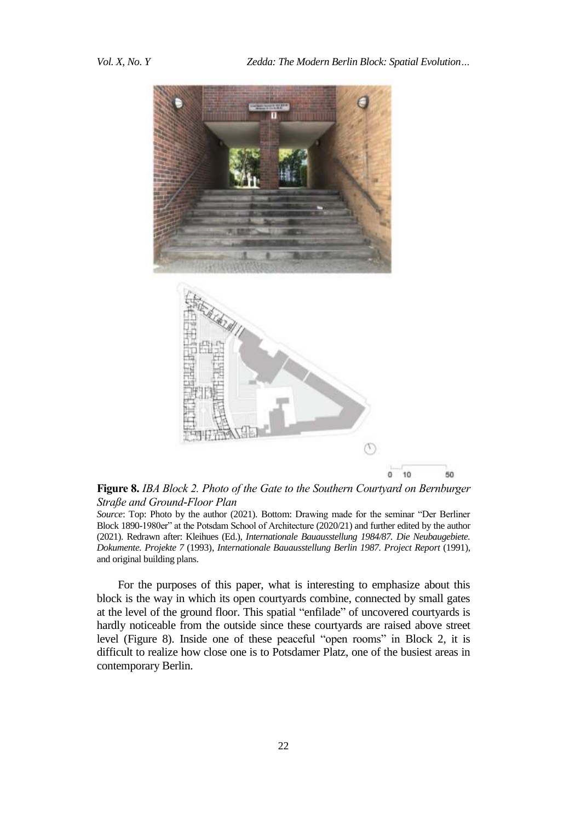

Figure 8. *IBA Block 2. Photo of the Gate to the Southern Courtyard on Bernburger Straße and Ground-Floor Plan*

*Source*: Top: Photo by the author (2021). Bottom: Drawing made for the seminar "Der Berliner Block 1890-1980er" at the Potsdam School of Architecture (2020/21) and further edited by the author (2021). Redrawn after: Kleihues (Ed.), *Internationale Bauausstellung 1984/87. Die Neubaugebiete. Dokumente. Projekte 7* (1993), *Internationale Bauausstellung Berlin 1987. Project Report* (1991), and original building plans.

For the purposes of this paper, what is interesting to emphasize about this block is the way in which its open courtyards combine, connected by small gates at the level of the ground floor. This spatial "enfilade" of uncovered courtyards is hardly noticeable from the outside since these courtyards are raised above street level (Figure 8). Inside one of these peaceful "open rooms" in Block 2, it is difficult to realize how close one is to Potsdamer Platz, one of the busiest areas in contemporary Berlin.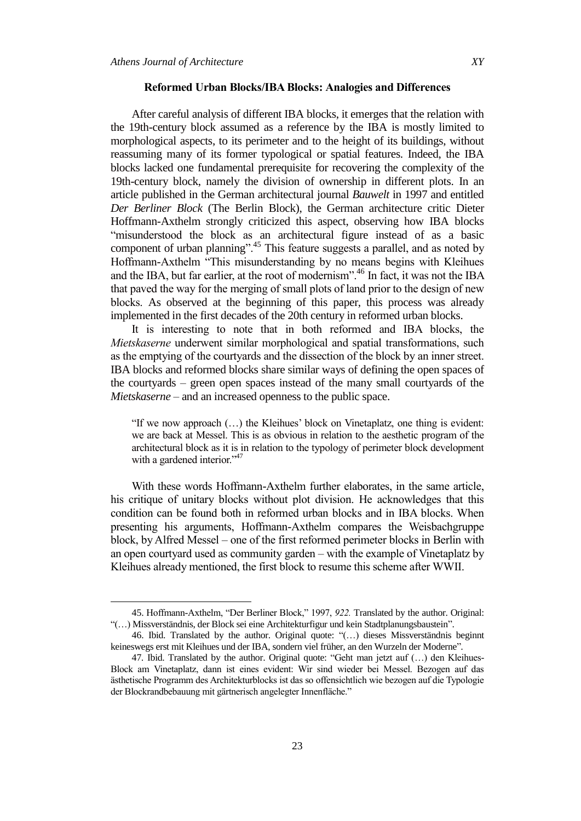#### **Reformed Urban Blocks/IBA Blocks: Analogies and Differences**

After careful analysis of different IBA blocks, it emerges that the relation with the 19th-century block assumed as a reference by the IBA is mostly limited to morphological aspects, to its perimeter and to the height of its buildings, without reassuming many of its former typological or spatial features. Indeed, the IBA blocks lacked one fundamental prerequisite for recovering the complexity of the 19th-century block, namely the division of ownership in different plots. In an article published in the German architectural journal *Bauwelt* in 1997 and entitled *Der Berliner Block* (The Berlin Block), the German architecture critic Dieter Hoffmann-Axthelm strongly criticized this aspect, observing how IBA blocks "misunderstood the block as an architectural figure instead of as a basic component of urban planning".<sup>45</sup> This feature suggests a parallel, and as noted by Hoffmann-Axthelm "This misunderstanding by no means begins with Kleihues and the IBA, but far earlier, at the root of modernism".<sup>46</sup> In fact, it was not the IBA that paved the way for the merging of small plots of land prior to the design of new blocks. As observed at the beginning of this paper, this process was already implemented in the first decades of the 20th century in reformed urban blocks.

It is interesting to note that in both reformed and IBA blocks, the *Mietskaserne* underwent similar morphological and spatial transformations, such as the emptying of the courtyards and the dissection of the block by an inner street. IBA blocks and reformed blocks share similar ways of defining the open spaces of the courtyards – green open spaces instead of the many small courtyards of the *Mietskaserne* – and an increased openness to the public space.

"If we now approach  $(...)$  the Kleihues' block on Vinetaplatz, one thing is evident: we are back at Messel. This is as obvious in relation to the aesthetic program of the architectural block as it is in relation to the typology of perimeter block development with a gardened interior."<sup>47</sup>

With these words Hoffmann-Axthelm further elaborates, in the same article, his critique of unitary blocks without plot division. He acknowledges that this condition can be found both in reformed urban blocks and in IBA blocks. When presenting his arguments, Hoffmann-Axthelm compares the Weisbachgruppe block, by Alfred Messel – one of the first reformed perimeter blocks in Berlin with an open courtyard used as community garden – with the example of Vinetaplatz by Kleihues already mentioned, the first block to resume this scheme after WWII.

<sup>45.</sup> Hoffmann-Axthelm, "Der Berliner Block," 1997, 922. Translated by the author. Original: "(...) Missverständnis, der Block sei eine Architekturfigur und kein Stadtplanungsbaustein".

<sup>46.</sup> Ibid. Translated by the author. Original quote: "(...) dieses Missverständnis beginnt keineswegs erst mit Kleihues und der IBA, sondern viel früher, an den Wurzeln der Moderne<sup>?</sup>.

<sup>47.</sup> Ibid. Translated by the author. Original quote: "Geht man jetzt auf (...) den Kleihues-Block am Vinetaplatz, dann ist eines evident: Wir sind wieder bei Messel. Bezogen auf das ästhetische Programm des Architekturblocks ist das so offensichtlich wie bezogen auf die Typologie der Blockrandbebauung mit gärtnerisch angelegter Innenfläche."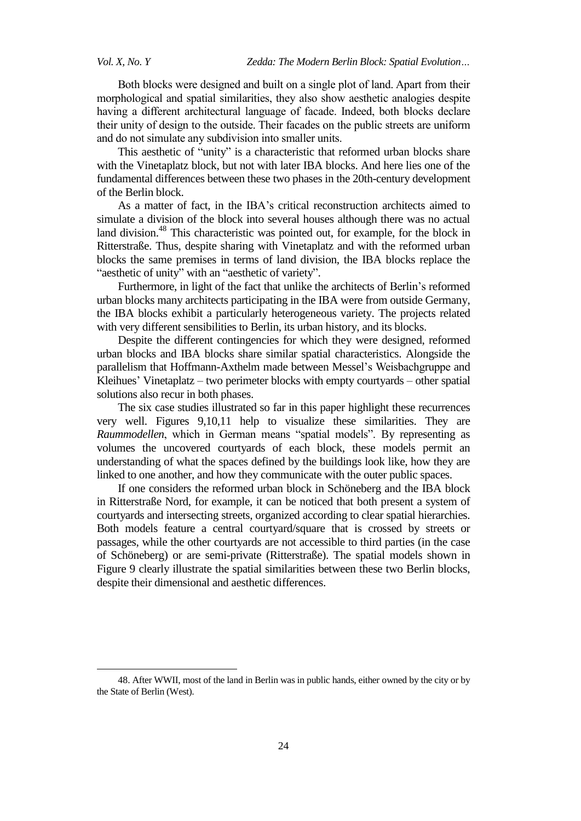Both blocks were designed and built on a single plot of land. Apart from their morphological and spatial similarities, they also show aesthetic analogies despite having a different architectural language of facade. Indeed, both blocks declare their unity of design to the outside. Their facades on the public streets are uniform and do not simulate any subdivision into smaller units.

This aesthetic of "unity" is a characteristic that reformed urban blocks share with the Vinetaplatz block, but not with later IBA blocks. And here lies one of the fundamental differences between these two phases in the 20th-century development of the Berlin block.

As a matter of fact, in the IBA's critical reconstruction architects aimed to simulate a division of the block into several houses although there was no actual land division.<sup>48</sup> This characteristic was pointed out, for example, for the block in Ritterstraße. Thus, despite sharing with Vinetaplatz and with the reformed urban blocks the same premises in terms of land division, the IBA blocks replace the "aesthetic of unity" with an "aesthetic of variety".

Furthermore, in light of the fact that unlike the architects of Berlin's reformed urban blocks many architects participating in the IBA were from outside Germany, the IBA blocks exhibit a particularly heterogeneous variety. The projects related with very different sensibilities to Berlin, its urban history, and its blocks.

Despite the different contingencies for which they were designed, reformed urban blocks and IBA blocks share similar spatial characteristics. Alongside the parallelism that Hoffmann-Axthelm made between Messel's Weisbachgruppe and Kleihues' Vinetaplatz – two perimeter blocks with empty courtyards – other spatial solutions also recur in both phases.

The six case studies illustrated so far in this paper highlight these recurrences very well. Figures 9,10,11 help to visualize these similarities. They are *Raummodellen*, which in German means "spatial models". By representing as volumes the uncovered courtyards of each block, these models permit an understanding of what the spaces defined by the buildings look like, how they are linked to one another, and how they communicate with the outer public spaces.

If one considers the reformed urban block in Schöneberg and the IBA block in Ritterstraße Nord, for example, it can be noticed that both present a system of courtyards and intersecting streets, organized according to clear spatial hierarchies. Both models feature a central courtyard/square that is crossed by streets or passages, while the other courtyards are not accessible to third parties (in the case of Schöneberg) or are semi-private (Ritterstraße). The spatial models shown in Figure 9 clearly illustrate the spatial similarities between these two Berlin blocks, despite their dimensional and aesthetic differences.

<sup>48.</sup> After WWII, most of the land in Berlin was in public hands, either owned by the city or by the State of Berlin (West).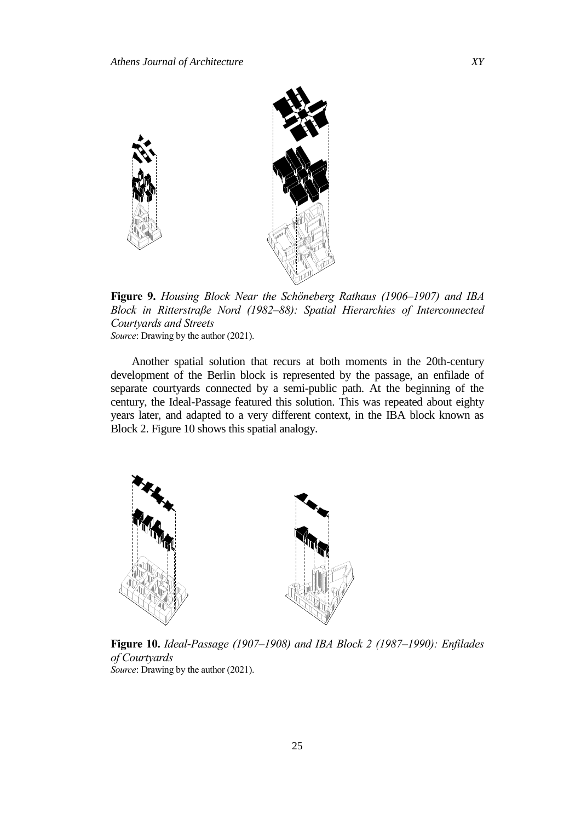

Figure 9. Housing Block Near the Schöneberg Rathaus (1906–1907) and IBA *Block in Ritterstraße Nord (1982–88): Spatial Hierarchies of Interconnected Courtyards and Streets Source*: Drawing by the author (2021).

Another spatial solution that recurs at both moments in the 20th-century development of the Berlin block is represented by the passage, an enfilade of separate courtyards connected by a semi-public path. At the beginning of the century, the Ideal-Passage featured this solution. This was repeated about eighty years later, and adapted to a very different context, in the IBA block known as Block 2. Figure 10 shows this spatial analogy.



**Figure 10.** *Ideal-Passage (1907–1908) and IBA Block 2 (1987–1990): Enfilades of Courtyards Source*: Drawing by the author (2021).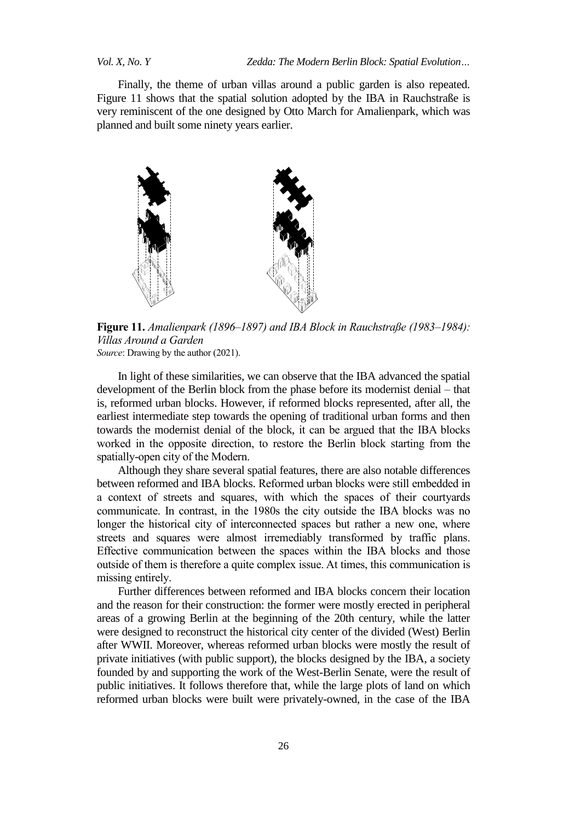*Vol. X, No. Y Zedda: The Modern Berlin Block: Spatial Evolution…*

Finally, the theme of urban villas around a public garden is also repeated. Figure 11 shows that the spatial solution adopted by the IBA in Rauchstraße is very reminiscent of the one designed by Otto March for Amalienpark, which was planned and built some ninety years earlier.



Figure 11. Amalienpark (1896–1897) and IBA Block in Rauchstraße (1983–1984): *Villas Around a Garden Source*: Drawing by the author (2021).

In light of these similarities, we can observe that the IBA advanced the spatial development of the Berlin block from the phase before its modernist denial – that is, reformed urban blocks. However, if reformed blocks represented, after all, the earliest intermediate step towards the opening of traditional urban forms and then towards the modernist denial of the block, it can be argued that the IBA blocks worked in the opposite direction, to restore the Berlin block starting from the spatially-open city of the Modern.

Although they share several spatial features, there are also notable differences between reformed and IBA blocks. Reformed urban blocks were still embedded in a context of streets and squares, with which the spaces of their courtyards communicate. In contrast, in the 1980s the city outside the IBA blocks was no longer the historical city of interconnected spaces but rather a new one, where streets and squares were almost irremediably transformed by traffic plans. Effective communication between the spaces within the IBA blocks and those outside of them is therefore a quite complex issue. At times, this communication is missing entirely.

Further differences between reformed and IBA blocks concern their location and the reason for their construction: the former were mostly erected in peripheral areas of a growing Berlin at the beginning of the 20th century, while the latter were designed to reconstruct the historical city center of the divided (West) Berlin after WWII. Moreover, whereas reformed urban blocks were mostly the result of private initiatives (with public support), the blocks designed by the IBA, a society founded by and supporting the work of the West-Berlin Senate, were the result of public initiatives. It follows therefore that, while the large plots of land on which reformed urban blocks were built were privately-owned, in the case of the IBA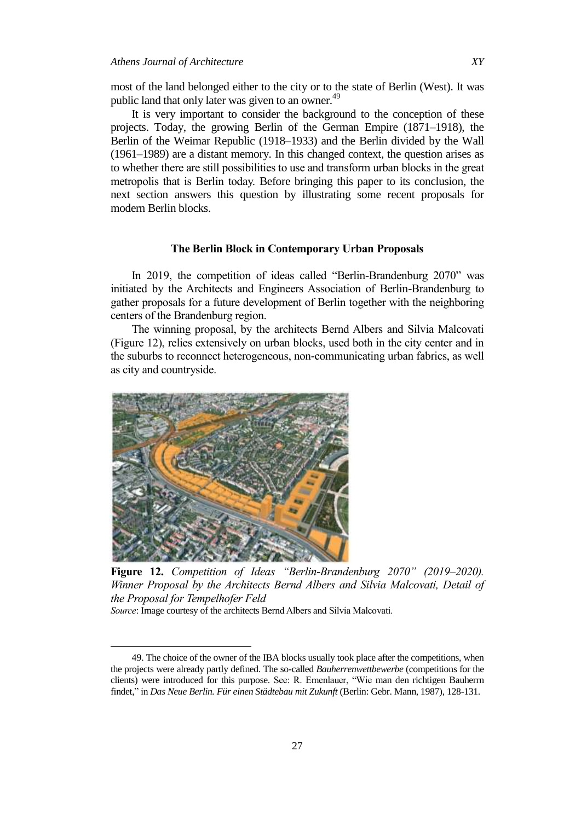most of the land belonged either to the city or to the state of Berlin (West). It was public land that only later was given to an owner.<sup>49</sup>

It is very important to consider the background to the conception of these projects. Today, the growing Berlin of the German Empire (1871–1918), the Berlin of the Weimar Republic (1918–1933) and the Berlin divided by the Wall (1961–1989) are a distant memory. In this changed context, the question arises as to whether there are still possibilities to use and transform urban blocks in the great metropolis that is Berlin today. Before bringing this paper to its conclusion, the next section answers this question by illustrating some recent proposals for modern Berlin blocks.

#### **The Berlin Block in Contemporary Urban Proposals**

In 2019, the competition of ideas called "Berlin-Brandenburg 2070" was initiated by the Architects and Engineers Association of Berlin-Brandenburg to gather proposals for a future development of Berlin together with the neighboring centers of the Brandenburg region.

The winning proposal, by the architects Bernd Albers and Silvia Malcovati (Figure 12), relies extensively on urban blocks, used both in the city center and in the suburbs to reconnect heterogeneous, non-communicating urban fabrics, as well as city and countryside.



**Figure 12.** *Competition of Ideas "Berlin-Brandenburg 2070" (2019–2020). Winner Proposal by the Architects Bernd Albers and Silvia Malcovati, Detail of the Proposal for Tempelhofer Feld*

*Source*: Image courtesy of the architects Bernd Albers and Silvia Malcovati.

<sup>49.</sup> The choice of the owner of the IBA blocks usually took place after the competitions, when the projects were already partly defined. The so-called *Bauherrenwettbewerbe* (competitions for the clients) were introduced for this purpose. See: R. Emenlauer, "Wie man den richtigen Bauherrn findet,‖ in *Das Neue Berlin. Für einen Städtebau mit Zukunft* (Berlin: Gebr. Mann, 1987), 128-131.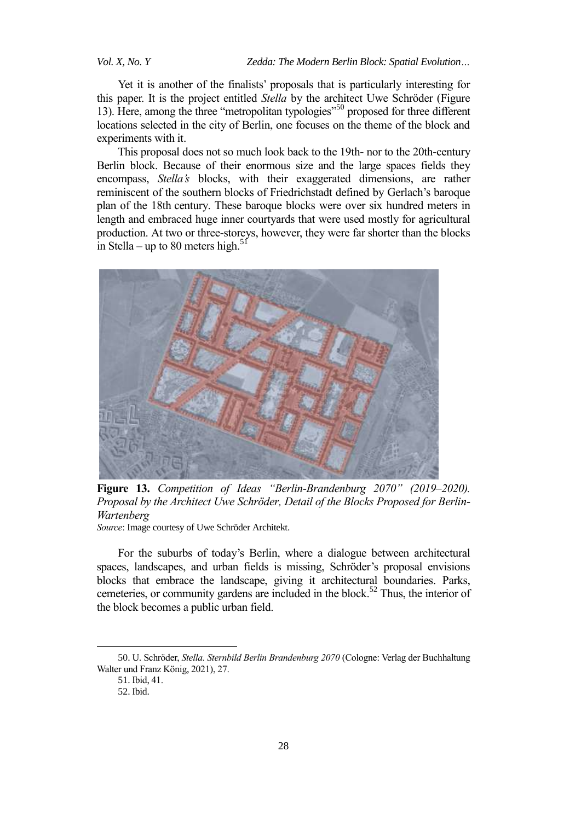*Vol. X, No. Y Zedda: The Modern Berlin Block: Spatial Evolution…*

Yet it is another of the finalists' proposals that is particularly interesting for this paper. It is the project entitled *Stella* by the architect Uwe Schröder (Figure 13). Here, among the three "metropolitan typologies"<sup>50</sup> proposed for three different locations selected in the city of Berlin, one focuses on the theme of the block and experiments with it.

This proposal does not so much look back to the 19th- nor to the 20th-century Berlin block. Because of their enormous size and the large spaces fields they encompass, *Stella's* blocks, with their exaggerated dimensions, are rather reminiscent of the southern blocks of Friedrichstadt defined by Gerlach's baroque plan of the 18th century. These baroque blocks were over six hundred meters in length and embraced huge inner courtyards that were used mostly for agricultural production. At two or three-storeys, however, they were far shorter than the blocks in Stella – up to 80 meters high.<sup>51</sup>



Figure 13. Competition of Ideas "Berlin-Brandenburg 2070" (2019–2020). Proposal by the Architect Uwe Schröder, Detail of the Blocks Proposed for Berlin-*Wartenberg Source*: Image courtesy of Uwe Schröder Architekt.

For the suburbs of today's Berlin, where a dialogue between architectural spaces, landscapes, and urban fields is missing, Schröder's proposal envisions blocks that embrace the landscape, giving it architectural boundaries. Parks, cemeteries, or community gardens are included in the block. <sup>52</sup> Thus, the interior of the block becomes a public urban field.

<sup>50.</sup> U. Schröder, *Stella. Sternbild Berlin Brandenburg 20 0* (Cologne: Verlag der Buchhaltung Walter und Franz König, 2021), 27.

<sup>51.</sup> Ibid, 41.

<sup>52.</sup> Ibid.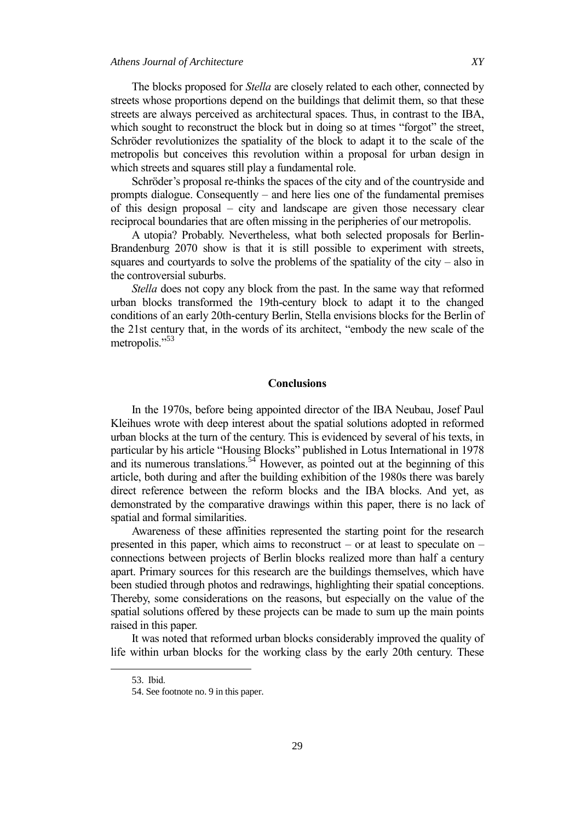The blocks proposed for *Stella* are closely related to each other, connected by streets whose proportions depend on the buildings that delimit them, so that these streets are always perceived as architectural spaces. Thus, in contrast to the IBA, which sought to reconstruct the block but in doing so at times "forgot" the street, Schröder revolutionizes the spatiality of the block to adapt it to the scale of the metropolis but conceives this revolution within a proposal for urban design in which streets and squares still play a fundamental role.

Schröder's proposal re-thinks the spaces of the city and of the countryside and prompts dialogue. Consequently – and here lies one of the fundamental premises of this design proposal – city and landscape are given those necessary clear reciprocal boundaries that are often missing in the peripheries of our metropolis.

A utopia? Probably. Nevertheless, what both selected proposals for Berlin-Brandenburg 2070 show is that it is still possible to experiment with streets, squares and courtyards to solve the problems of the spatiality of the city – also in the controversial suburbs.

*Stella* does not copy any block from the past. In the same way that reformed urban blocks transformed the 19th-century block to adapt it to the changed conditions of an early 20th-century Berlin, Stella envisions blocks for the Berlin of the 21st century that, in the words of its architect, "embody the new scale of the metropolis."<sup>53</sup>

#### **Conclusions**

In the 1970s, before being appointed director of the IBA Neubau, Josef Paul Kleihues wrote with deep interest about the spatial solutions adopted in reformed urban blocks at the turn of the century. This is evidenced by several of his texts, in particular by his article "Housing Blocks" published in Lotus International in 1978 and its numerous translations.<sup>54</sup> However, as pointed out at the beginning of this article, both during and after the building exhibition of the 1980s there was barely direct reference between the reform blocks and the IBA blocks. And yet, as demonstrated by the comparative drawings within this paper, there is no lack of spatial and formal similarities.

Awareness of these affinities represented the starting point for the research presented in this paper, which aims to reconstruct – or at least to speculate on – connections between projects of Berlin blocks realized more than half a century apart. Primary sources for this research are the buildings themselves, which have been studied through photos and redrawings, highlighting their spatial conceptions. Thereby, some considerations on the reasons, but especially on the value of the spatial solutions offered by these projects can be made to sum up the main points raised in this paper.

It was noted that reformed urban blocks considerably improved the quality of life within urban blocks for the working class by the early 20th century. These

<sup>53.</sup> Ibid.

<sup>54.</sup> See footnote no. 9 in this paper.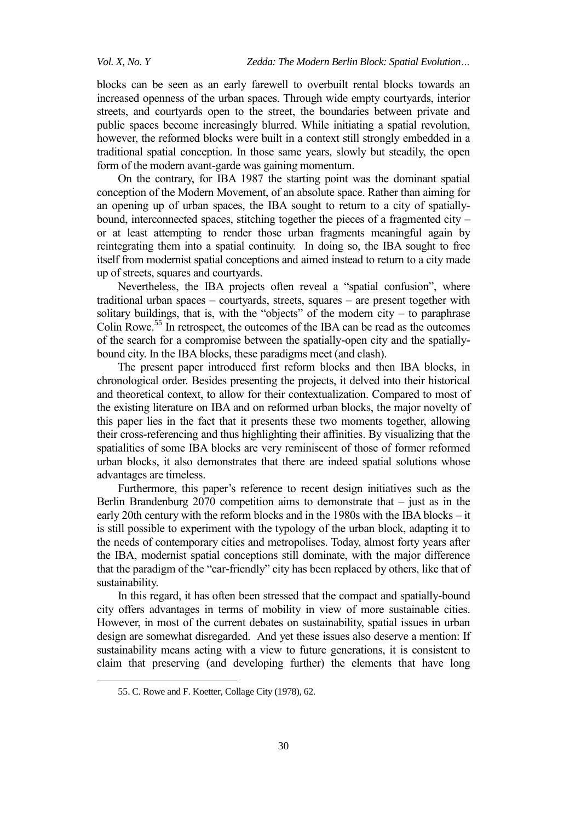blocks can be seen as an early farewell to overbuilt rental blocks towards an increased openness of the urban spaces. Through wide empty courtyards, interior streets, and courtyards open to the street, the boundaries between private and public spaces become increasingly blurred. While initiating a spatial revolution, however, the reformed blocks were built in a context still strongly embedded in a traditional spatial conception. In those same years, slowly but steadily, the open form of the modern avant-garde was gaining momentum.

On the contrary, for IBA 1987 the starting point was the dominant spatial conception of the Modern Movement, of an absolute space. Rather than aiming for an opening up of urban spaces, the IBA sought to return to a city of spatiallybound, interconnected spaces, stitching together the pieces of a fragmented city – or at least attempting to render those urban fragments meaningful again by reintegrating them into a spatial continuity. In doing so, the IBA sought to free itself from modernist spatial conceptions and aimed instead to return to a city made up of streets, squares and courtyards.

Nevertheless, the IBA projects often reveal a "spatial confusion", where traditional urban spaces – courtyards, streets, squares – are present together with solitary buildings, that is, with the "objects" of the modern city – to paraphrase Colin Rowe. <sup>55</sup> In retrospect, the outcomes of the IBA can be read as the outcomes of the search for a compromise between the spatially-open city and the spatiallybound city. In the IBA blocks, these paradigms meet (and clash).

The present paper introduced first reform blocks and then IBA blocks, in chronological order. Besides presenting the projects, it delved into their historical and theoretical context, to allow for their contextualization. Compared to most of the existing literature on IBA and on reformed urban blocks, the major novelty of this paper lies in the fact that it presents these two moments together, allowing their cross-referencing and thus highlighting their affinities. By visualizing that the spatialities of some IBA blocks are very reminiscent of those of former reformed urban blocks, it also demonstrates that there are indeed spatial solutions whose advantages are timeless.

Furthermore, this paper's reference to recent design initiatives such as the Berlin Brandenburg 2070 competition aims to demonstrate that  $-$  just as in the early 20th century with the reform blocks and in the 1980s with the IBA blocks – it is still possible to experiment with the typology of the urban block, adapting it to the needs of contemporary cities and metropolises. Today, almost forty years after the IBA, modernist spatial conceptions still dominate, with the major difference that the paradigm of the "car-friendly" city has been replaced by others, like that of sustainability.

In this regard, it has often been stressed that the compact and spatially-bound city offers advantages in terms of mobility in view of more sustainable cities. However, in most of the current debates on sustainability, spatial issues in urban design are somewhat disregarded. And yet these issues also deserve a mention: If sustainability means acting with a view to future generations, it is consistent to claim that preserving (and developing further) the elements that have long

<sup>55.</sup> C. Rowe and F. Koetter, Collage City (1978), 62.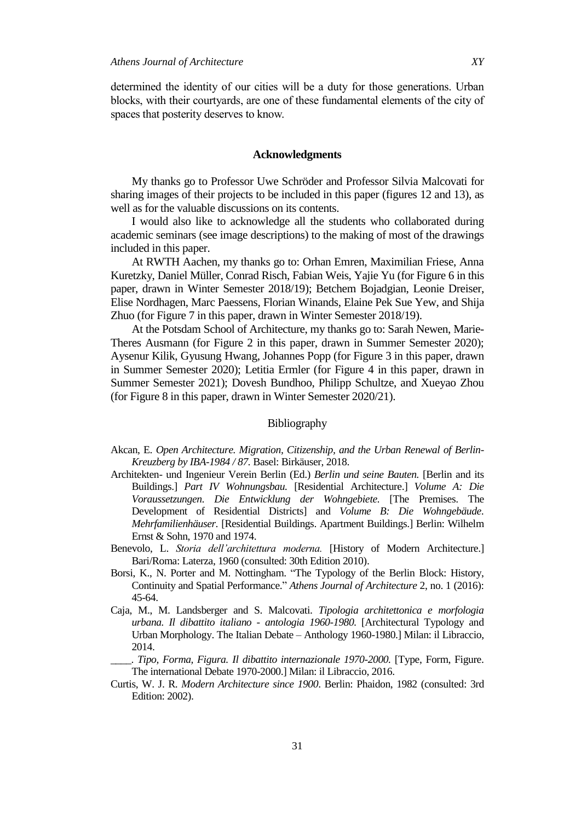determined the identity of our cities will be a duty for those generations. Urban blocks, with their courtyards, are one of these fundamental elements of the city of spaces that posterity deserves to know.

#### **Acknowledgments**

My thanks go to Professor Uwe Schröder and Professor Silvia Malcovati for sharing images of their projects to be included in this paper (figures 12 and 13), as well as for the valuable discussions on its contents.

I would also like to acknowledge all the students who collaborated during academic seminars (see image descriptions) to the making of most of the drawings included in this paper.

At RWTH Aachen, my thanks go to: Orhan Emren, Maximilian Friese, Anna Kuretzky, Daniel Müller, Conrad Risch, Fabian Weis, Yajie Yu (for Figure 6 in this paper, drawn in Winter Semester 2018/19); Betchem Bojadgian, Leonie Dreiser, Elise Nordhagen, Marc Paessens, Florian Winands, Elaine Pek Sue Yew, and Shija Zhuo (for Figure 7 in this paper, drawn in Winter Semester 2018/19).

At the Potsdam School of Architecture, my thanks go to: Sarah Newen, Marie-Theres Ausmann (for Figure 2 in this paper, drawn in Summer Semester 2020); Aysenur Kilik, Gyusung Hwang, Johannes Popp (for Figure 3 in this paper, drawn in Summer Semester 2020); Letitia Ermler (for Figure 4 in this paper, drawn in Summer Semester 2021); Dovesh Bundhoo, Philipp Schultze, and Xueyao Zhou (for Figure 8 in this paper, drawn in Winter Semester 2020/21).

#### Bibliography

- Akcan, E. *Open Architecture. Migration, Citizenship, and the Urban Renewal of Berlin-Kreuzberg by IBA-1984 / 87.* Basel: Birkäuser, 2018.
- Architekten- und Ingenieur Verein Berlin (Ed.) *Berlin und seine Bauten.* [Berlin and its Buildings.] *Part IV Wohnungsbau.* [Residential Architecture.] *Volume A: Die Voraussetzungen. Die Entwicklung der Wohngebiete.* [The Premises. The Development of Residential Districts] and *Volume B: Die Wohngebäude. Mehrfamilienhäuser.* [Residential Buildings. Apartment Buildings.] Berlin: Wilhelm Ernst & Sohn, 1970 and 1974.
- Benevolo, L. *Storia dell'architettura moderna.* [History of Modern Architecture.] Bari/Roma: Laterza, 1960 (consulted: 30th Edition 2010).
- Borsi, K., N. Porter and M. Nottingham. "The Typology of the Berlin Block: History, Continuity and Spatial Performance." *Athens Journal of Architecture* 2, no. 1 (2016): 45-64.
- Caja, M., M. Landsberger and S. Malcovati. *Tipologia architettonica e morfologia urbana. Il dibattito italiano - antologia 1960-1980.* [Architectural Typology and Urban Morphology. The Italian Debate – Anthology 1960-1980.] Milan: il Libraccio, 2014.
- \_\_\_\_. *Tipo, Forma, Figura. Il dibattito internazionale 1970-2000.* [Type, Form, Figure. The international Debate 1970-2000.] Milan: il Libraccio, 2016.
- Curtis, W. J. R. *Modern Architecture since 1900*. Berlin: Phaidon, 1982 (consulted: 3rd Edition: 2002).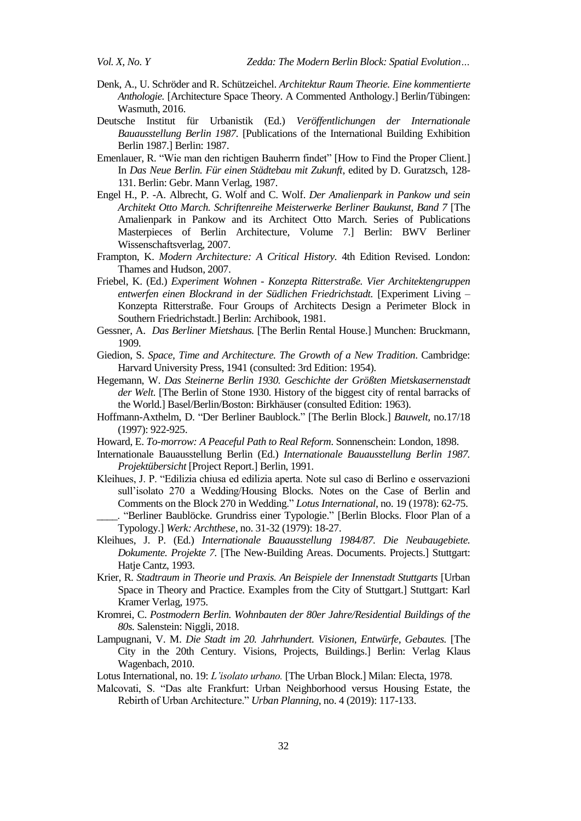- Denk, A., U. Schröder and R. Schützeichel. *Architektur Raum Theorie. Eine kommentierte Anthologie.* [Architecture Space Theory. A Commented Anthology.] Berlin/Tübingen: Wasmuth, 2016.
- Deutsche Institut für Urbanistik (Ed.) *Veröffentlichungen der Internationale Bauausstellung Berlin 1987.* [Publications of the International Building Exhibition Berlin 1987.] Berlin: 1987.
- Emenlauer, R. "Wie man den richtigen Bauherrn findet" [How to Find the Proper Client.] In *Das Neue Berlin. Für einen Städtebau mit Zukunft*, edited by D. Guratzsch, 128- 131. Berlin: Gebr. Mann Verlag, 1987.
- Engel H., P. -A. Albrecht, G. Wolf and C. Wolf. *Der Amalienpark in Pankow und sein Architekt Otto March. Schriftenreihe Meisterwerke Berliner Baukunst, Band 7* [The Amalienpark in Pankow and its Architect Otto March. Series of Publications Masterpieces of Berlin Architecture, Volume 7.] Berlin: BWV Berliner Wissenschaftsverlag, 2007.
- Frampton, K. *Modern Architecture: A Critical History.* 4th Edition Revised. London: Thames and Hudson, 2007.
- Friebel, K. (Ed.) *Experiment Wohnen - Konzepta Ritterstraße. Vier Architektengruppen entwerfen einen Blockrand in der Südlichen Friedrichstadt.* [Experiment Living – Konzepta Ritterstraße. Four Groups of Architects Design a Perimeter Block in Southern Friedrichstadt.] Berlin: Archibook, 1981.
- Gessner, A. *Das Berliner Mietshaus.* [The Berlin Rental House.] Munchen: Bruckmann, 1909.
- Giedion, S. *Space, Time and Architecture. The Growth of a New Tradition*. Cambridge: Harvard University Press, 1941 (consulted: 3rd Edition: 1954).
- Hegemann, W. *Das Steinerne Berlin 1930. Geschichte der Größten Mietskasernenstadt der Welt.* [The Berlin of Stone 1930. History of the biggest city of rental barracks of the World.] Basel/Berlin/Boston: Birkhäuser (consulted Edition: 1963).
- Hoffmann-Axthelm, D. "Der Berliner Baublock." [The Berlin Block.] *Bauwelt*, no.17/18 (1997): 922-925.
- Howard, E. *To-morrow: A Peaceful Path to Real Reform*. Sonnenschein: London, 1898.
- Internationale Bauausstellung Berlin (Ed.) *Internationale Bauausstellung Berlin 1987. Projektübersicht* [Project Report.] Berlin, 1991.
- Kleihues, J. P. "Edilizia chiusa ed edilizia aperta. Note sul caso di Berlino e osservazioni sull'isolato 270 a Wedding/Housing Blocks. Notes on the Case of Berlin and Comments on the Block 270 in Wedding." *Lotus International*, no. 19 (1978): 62-75. \_\_\_\_. ―Berliner Baublöcke. Grundriss einer Typologie.‖ [Berlin Blocks. Floor Plan of a

Typology.] *Werk: Archthese*, no. 31-32 (1979): 18-27.

- Kleihues, J. P. (Ed.) *Internationale Bauausstellung 1984/87. Die Neubaugebiete. Dokumente. Projekte 7.* [The New-Building Areas. Documents. Projects.] Stuttgart: Hatje Cantz, 1993.
- Krier, R. *Stadtraum in Theorie und Praxis. An Beispiele der Innenstadt Stuttgarts* [Urban Space in Theory and Practice. Examples from the City of Stuttgart.] Stuttgart: Karl Kramer Verlag, 1975.
- Kromrei, C. *Postmodern Berlin. Wohnbauten der 80er Jahre/Residential Buildings of the 80s.* Salenstein: Niggli, 2018.
- Lampugnani, V. M. *Die Stadt im 20. Jahrhundert. Visionen, Entwürfe, Gebautes.* [The City in the 20th Century. Visions, Projects, Buildings.] Berlin: Verlag Klaus Wagenbach, 2010.
- Lotus International, no. 19: *L'isolato urbano.* [The Urban Block.] Milan: Electa, 1978.
- Malcovati, S. "Das alte Frankfurt: Urban Neighborhood versus Housing Estate, the Rebirth of Urban Architecture." *Urban Planning*, no. 4 (2019): 117-133.